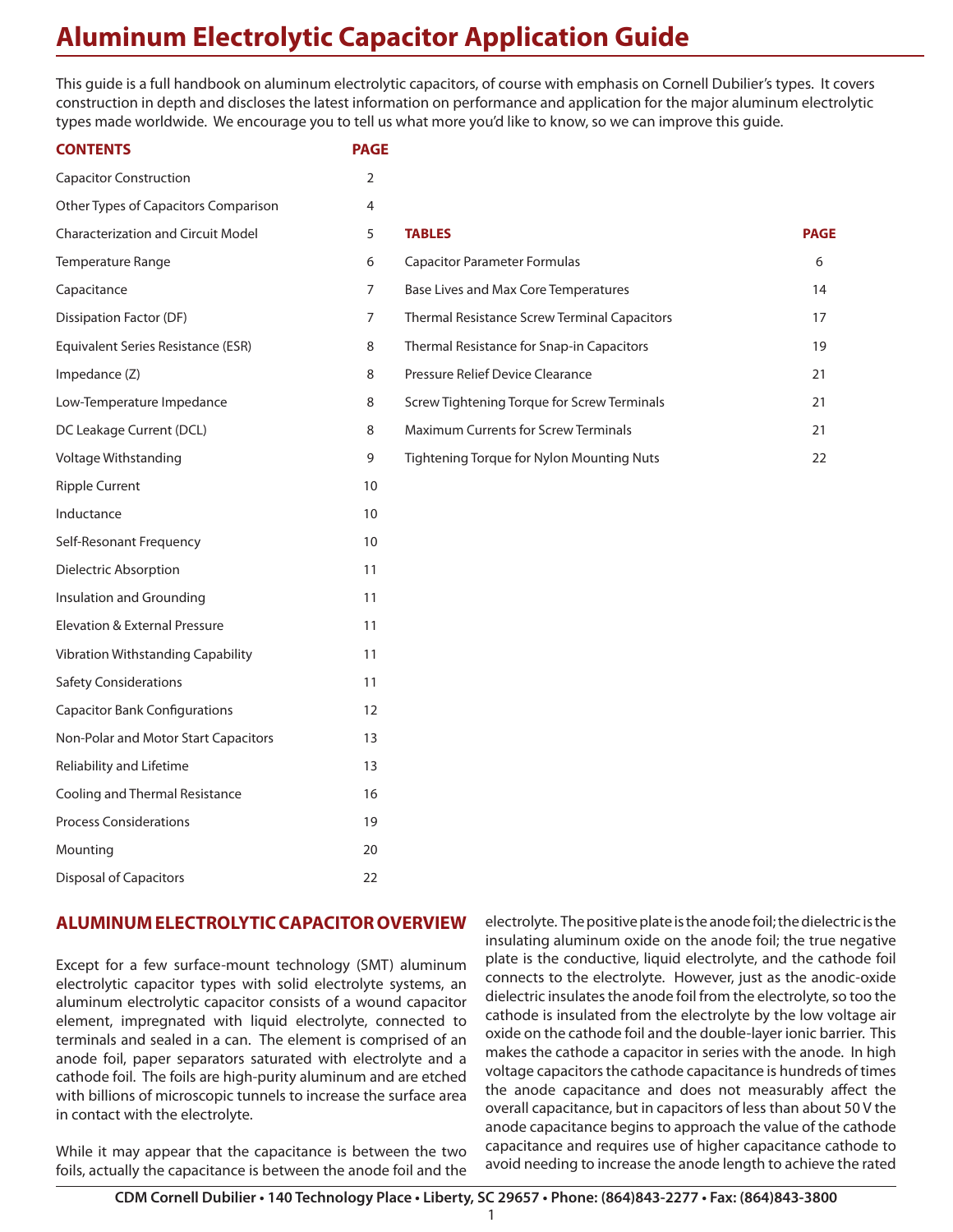# **Aluminum Electrolytic Capacitor Application Guide**

This guide is a full handbook on aluminum electrolytic capacitors, of course with emphasis on Cornell Dubilier's types. It covers construction in depth and discloses the latest information on performance and application for the major aluminum electrolytic types made worldwide. We encourage you to tell us what more you'd like to know, so we can improve this guide.

#### **CONTENTS PAGE**

| 2  |               |
|----|---------------|
| 4  |               |
| 5  | <b>TABLE</b>  |
| 6  | Capac         |
| 7  | <b>Base L</b> |
| 7  | Therm         |
| 8  | Therm         |
| 8  | Pressu        |
| 8  | Screw         |
| 8  | Maxim         |
| 9  | Tighte        |
| 10 |               |
| 10 |               |
| 10 |               |
| 11 |               |
| 11 |               |
| 11 |               |
| 11 |               |
| 11 |               |
| 12 |               |
| 13 |               |
| 13 |               |
| 16 |               |
| 19 |               |
| 20 |               |
| 22 |               |
|    |               |

| Other Types of Capacitors Comparison      | 4              |                                                     |             |
|-------------------------------------------|----------------|-----------------------------------------------------|-------------|
| <b>Characterization and Circuit Model</b> | 5              | <b>TABLES</b>                                       | <b>PAGE</b> |
| Temperature Range                         | 6              | <b>Capacitor Parameter Formulas</b>                 | 6           |
| Capacitance                               | $\overline{7}$ | Base Lives and Max Core Temperatures                | 14          |
| Dissipation Factor (DF)                   | 7              | <b>Thermal Resistance Screw Terminal Capacitors</b> | 17          |
| Equivalent Series Resistance (ESR)        | 8              | Thermal Resistance for Snap-in Capacitors           | 19          |
| Impedance (Z)                             | 8              | Pressure Relief Device Clearance                    | 21          |
| Low-Temperature Impedance                 | 8              | Screw Tightening Torque for Screw Terminals         | 21          |
| DC Leakage Current (DCL)                  | 8              | <b>Maximum Currents for Screw Terminals</b>         | 21          |
| Voltage Withstanding                      | 9              | Tightening Torque for Nylon Mounting Nuts           | 22          |
|                                           |                |                                                     |             |

# **ALUMINUM ELECTROLYTIC CAPACITOR OVERVIEW**

Except for a few surface-mount technology (SMT) aluminum electrolytic capacitor types with solid electrolyte systems, an aluminum electrolytic capacitor consists of a wound capacitor element, impregnated with liquid electrolyte, connected to terminals and sealed in a can. The element is comprised of an anode foil, paper separators saturated with electrolyte and a cathode foil. The foils are high-purity aluminum and are etched with billions of microscopic tunnels to increase the surface area in contact with the electrolyte.

While it may appear that the capacitance is between the two foils, actually the capacitance is between the anode foil and the electrolyte. The positive plate is the anode foil; the dielectric is the insulating aluminum oxide on the anode foil; the true negative plate is the conductive, liquid electrolyte, and the cathode foil connects to the electrolyte. However, just as the anodic-oxide dielectric insulates the anode foil from the electrolyte, so too the cathode is insulated from the electrolyte by the low voltage air oxide on the cathode foil and the double-layer ionic barrier. This makes the cathode a capacitor in series with the anode. In high voltage capacitors the cathode capacitance is hundreds of times the anode capacitance and does not measurably affect the overall capacitance, but in capacitors of less than about 50 V the anode capacitance begins to approach the value of the cathode capacitance and requires use of higher capacitance cathode to avoid needing to increase the anode length to achieve the rated

1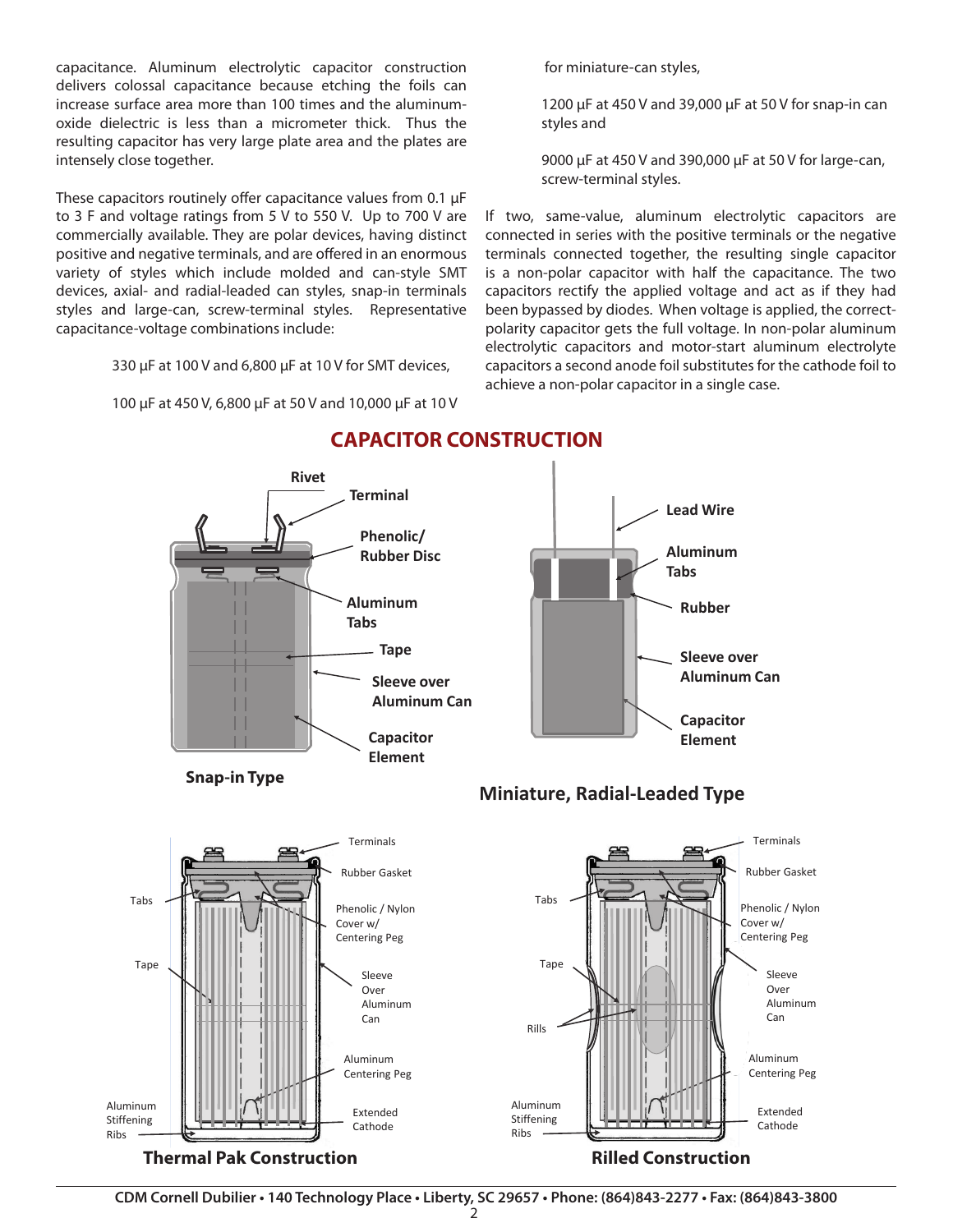capacitance. Aluminum electrolytic capacitor construction delivers colossal capacitance because etching the foils can increase surface area more than 100 times and the aluminumoxide dielectric is less than a micrometer thick. Thus the resulting capacitor has very large plate area and the plates are intensely close together.

These capacitors routinely offer capacitance values from 0.1 µF to 3 F and voltage ratings from 5 V to 550 V. Up to 700 V are commercially available. They are polar devices, having distinct positive and negative terminals, and are offered in an enormous variety of styles which include molded and can-style SMT devices, axial- and radial-leaded can styles, snap-in terminals styles and large-can, screw-terminal styles. Representative capacitance-voltage combinations include:

330 µF at 100 V and 6,800 µF at 10 V for SMT devices,

100 µF at 450 V, 6,800 µF at 50 V and 10,000 µF at 10 V

for miniature-can styles,

1200 µF at 450 V and 39,000 µF at 50 V for snap-in can styles and

9000 µF at 450 V and 390,000 µF at 50 V for large-can, screw-terminal styles.

If two, same-value, aluminum electrolytic capacitors are connected in series with the positive terminals or the negative terminals connected together, the resulting single capacitor is a non-polar capacitor with half the capacitance. The two capacitors rectify the applied voltage and act as if they had been bypassed by diodes. When voltage is applied, the correctpolarity capacitor gets the full voltage. In non-polar aluminum electrolytic capacitors and motor-start aluminum electrolyte capacitors a second anode foil substitutes for the cathode foil to achieve a non-polar capacitor in a single case.



# **CAPACITOR CONSTRUCTION**



**Snap-in Type**





**CDM Cornell Dubilier • 140 Technology Place • Liberty, SC 29657 • Phone: (864)843-2277 • Fax: (864)843-3800**  Thermal Pak Construction Rilled Construction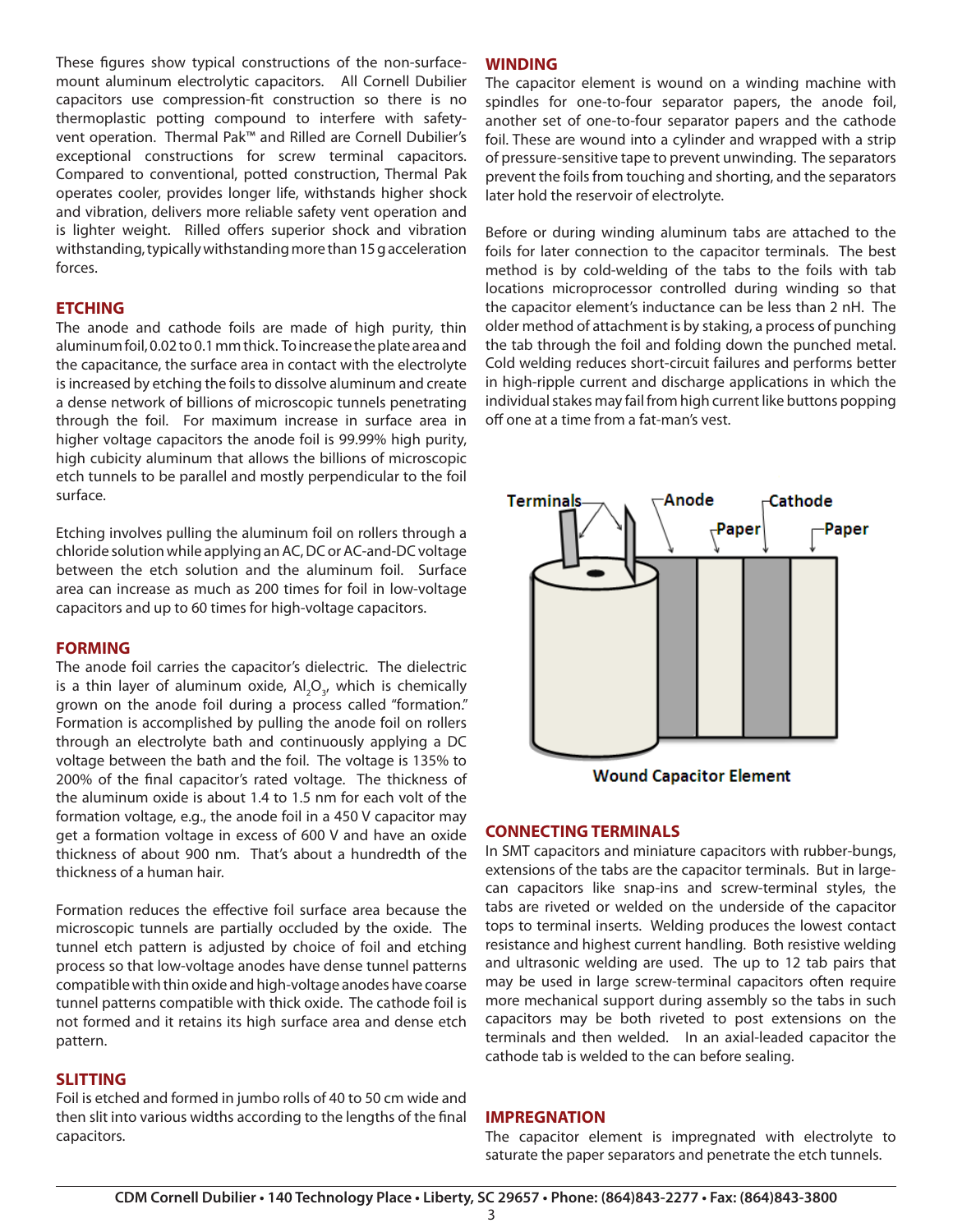These figures show typical constructions of the non-surfacemount aluminum electrolytic capacitors. All Cornell Dubilier capacitors use compression-fit construction so there is no thermoplastic potting compound to interfere with safetyvent operation. Thermal Pak™ and Rilled are Cornell Dubilier's exceptional constructions for screw terminal capacitors. Compared to conventional, potted construction, Thermal Pak operates cooler, provides longer life, withstands higher shock and vibration, delivers more reliable safety vent operation and is lighter weight. Rilled offers superior shock and vibration withstanding, typically withstanding more than 15 g acceleration forces.

#### **ETCHING**

The anode and cathode foils are made of high purity, thin aluminum foil, 0.02 to 0.1 mm thick. To increase the plate area and the capacitance, the surface area in contact with the electrolyte is increased by etching the foils to dissolve aluminum and create a dense network of billions of microscopic tunnels penetrating through the foil. For maximum increase in surface area in higher voltage capacitors the anode foil is 99.99% high purity, high cubicity aluminum that allows the billions of microscopic etch tunnels to be parallel and mostly perpendicular to the foil surface.

Etching involves pulling the aluminum foil on rollers through a chloride solution while applying an AC, DC or AC-and-DC voltage between the etch solution and the aluminum foil. Surface area can increase as much as 200 times for foil in low-voltage capacitors and up to 60 times for high-voltage capacitors.

#### **FORMING**

The anode foil carries the capacitor's dielectric. The dielectric is a thin layer of aluminum oxide,  $\mathsf{Al}_2\mathsf{O}_{\mathsf{3}'}$  which is chemically grown on the anode foil during a process called "formation." Formation is accomplished by pulling the anode foil on rollers through an electrolyte bath and continuously applying a DC voltage between the bath and the foil. The voltage is 135% to 200% of the final capacitor's rated voltage. The thickness of the aluminum oxide is about 1.4 to 1.5 nm for each volt of the formation voltage, e.g., the anode foil in a 450 V capacitor may get a formation voltage in excess of 600 V and have an oxide thickness of about 900 nm. That's about a hundredth of the thickness of a human hair.

Formation reduces the effective foil surface area because the microscopic tunnels are partially occluded by the oxide. The tunnel etch pattern is adjusted by choice of foil and etching process so that low-voltage anodes have dense tunnel patterns compatible with thin oxide and high-voltage anodes have coarse tunnel patterns compatible with thick oxide. The cathode foil is not formed and it retains its high surface area and dense etch pattern.

### **SLITTING**

Foil is etched and formed in jumbo rolls of 40 to 50 cm wide and then slit into various widths according to the lengths of the final capacitors.

#### **WINDING**

The capacitor element is wound on a winding machine with spindles for one-to-four separator papers, the anode foil, another set of one-to-four separator papers and the cathode foil. These are wound into a cylinder and wrapped with a strip of pressure-sensitive tape to prevent unwinding. The separators prevent the foils from touching and shorting, and the separators later hold the reservoir of electrolyte.

Before or during winding aluminum tabs are attached to the foils for later connection to the capacitor terminals. The best method is by cold-welding of the tabs to the foils with tab locations microprocessor controlled during winding so that the capacitor element's inductance can be less than 2 nH. The older method of attachment is by staking, a process of punching the tab through the foil and folding down the punched metal. Cold welding reduces short-circuit failures and performs better in high-ripple current and discharge applications in which the individual stakes may fail from high current like buttons popping off one at a time from a fat-man's vest.



**Wound Capacitor Element** 

### **CONNECTING TERMINALS**

In SMT capacitors and miniature capacitors with rubber-bungs, extensions of the tabs are the capacitor terminals. But in largecan capacitors like snap-ins and screw-terminal styles, the tabs are riveted or welded on the underside of the capacitor tops to terminal inserts. Welding produces the lowest contact resistance and highest current handling. Both resistive welding and ultrasonic welding are used. The up to 12 tab pairs that may be used in large screw-terminal capacitors often require more mechanical support during assembly so the tabs in such capacitors may be both riveted to post extensions on the terminals and then welded. In an axial-leaded capacitor the cathode tab is welded to the can before sealing.

#### **IMPREGNATION**

The capacitor element is impregnated with electrolyte to saturate the paper separators and penetrate the etch tunnels.

3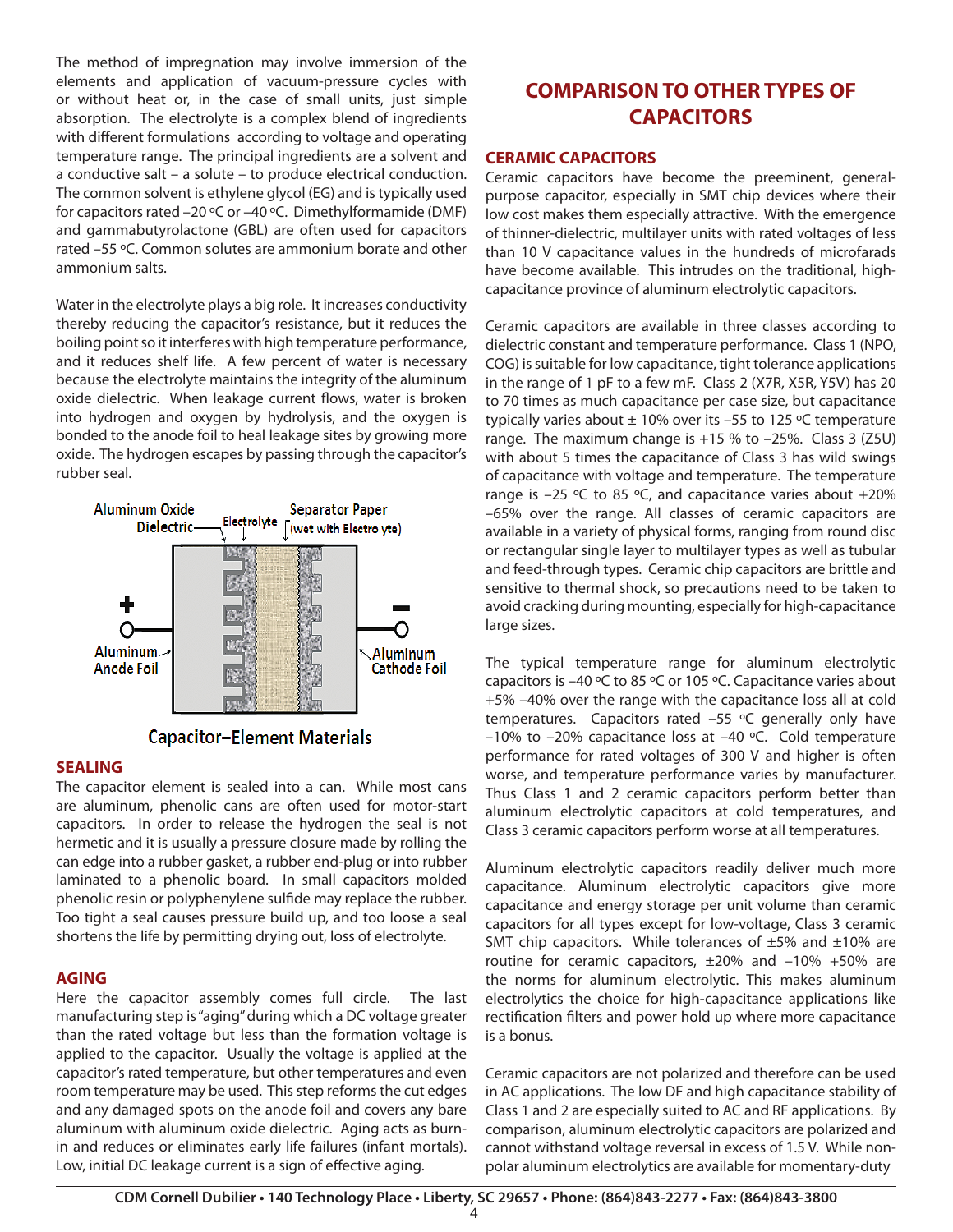The method of impregnation may involve immersion of the elements and application of vacuum-pressure cycles with or without heat or, in the case of small units, just simple absorption. The electrolyte is a complex blend of ingredients with different formulations according to voltage and operating temperature range. The principal ingredients are a solvent and a conductive salt – a solute – to produce electrical conduction. The common solvent is ethylene glycol (EG) and is typically used for capacitors rated –20 ºC or –40 ºC. Dimethylformamide (DMF) and gammabutyrolactone (GBL) are often used for capacitors rated –55 ºC. Common solutes are ammonium borate and other ammonium salts.

Water in the electrolyte plays a big role. It increases conductivity thereby reducing the capacitor's resistance, but it reduces the boiling point so it interferes with high temperature performance, and it reduces shelf life. A few percent of water is necessary because the electrolyte maintains the integrity of the aluminum oxide dielectric. When leakage current flows, water is broken into hydrogen and oxygen by hydrolysis, and the oxygen is bonded to the anode foil to heal leakage sites by growing more oxide. The hydrogen escapes by passing through the capacitor's rubber seal.



# **Capacitor-Element Materials**

#### **SEALING**

The capacitor element is sealed into a can. While most cans are aluminum, phenolic cans are often used for motor-start capacitors. In order to release the hydrogen the seal is not hermetic and it is usually a pressure closure made by rolling the can edge into a rubber gasket, a rubber end-plug or into rubber laminated to a phenolic board. In small capacitors molded phenolic resin or polyphenylene sulfide may replace the rubber. Too tight a seal causes pressure build up, and too loose a seal shortens the life by permitting drying out, loss of electrolyte.

### **AGING**

Here the capacitor assembly comes full circle. The last manufacturing step is "aging" during which a DC voltage greater than the rated voltage but less than the formation voltage is applied to the capacitor. Usually the voltage is applied at the capacitor's rated temperature, but other temperatures and even room temperature may be used. This step reforms the cut edges and any damaged spots on the anode foil and covers any bare aluminum with aluminum oxide dielectric. Aging acts as burnin and reduces or eliminates early life failures (infant mortals). Low, initial DC leakage current is a sign of effective aging.

# **COMPARISON TO OTHER TYPES OF CAPACITORS**

#### **CERAMIC CAPACITORS**

Ceramic capacitors have become the preeminent, generalpurpose capacitor, especially in SMT chip devices where their low cost makes them especially attractive. With the emergence of thinner-dielectric, multilayer units with rated voltages of less than 10 V capacitance values in the hundreds of microfarads have become available. This intrudes on the traditional, highcapacitance province of aluminum electrolytic capacitors.

Ceramic capacitors are available in three classes according to dielectric constant and temperature performance. Class 1 (NPO, COG) is suitable for low capacitance, tight tolerance applications in the range of 1 pF to a few mF. Class 2 (X7R, X5R, Y5V) has 20 to 70 times as much capacitance per case size, but capacitance typically varies about  $\pm$  10% over its -55 to 125 °C temperature range. The maximum change is  $+15$  % to  $-25$ %. Class 3 (Z5U) with about 5 times the capacitance of Class 3 has wild swings of capacitance with voltage and temperature. The temperature range is  $-25$  °C to 85 °C, and capacitance varies about  $+20\%$ –65% over the range. All classes of ceramic capacitors are available in a variety of physical forms, ranging from round disc or rectangular single layer to multilayer types as well as tubular and feed-through types. Ceramic chip capacitors are brittle and sensitive to thermal shock, so precautions need to be taken to avoid cracking during mounting, especially for high-capacitance large sizes.

The typical temperature range for aluminum electrolytic capacitors is –40 ºC to 85 ºC or 105 ºC. Capacitance varies about +5% –40% over the range with the capacitance loss all at cold temperatures. Capacitors rated –55 ºC generally only have –10% to –20% capacitance loss at –40 ºC. Cold temperature performance for rated voltages of 300 V and higher is often worse, and temperature performance varies by manufacturer. Thus Class 1 and 2 ceramic capacitors perform better than aluminum electrolytic capacitors at cold temperatures, and Class 3 ceramic capacitors perform worse at all temperatures.

Aluminum electrolytic capacitors readily deliver much more capacitance. Aluminum electrolytic capacitors give more capacitance and energy storage per unit volume than ceramic capacitors for all types except for low-voltage, Class 3 ceramic SMT chip capacitors. While tolerances of  $\pm 5\%$  and  $\pm 10\%$  are routine for ceramic capacitors,  $\pm 20\%$  and  $-10\%$  +50% are the norms for aluminum electrolytic. This makes aluminum electrolytics the choice for high-capacitance applications like rectification filters and power hold up where more capacitance is a bonus.

Ceramic capacitors are not polarized and therefore can be used in AC applications. The low DF and high capacitance stability of Class 1 and 2 are especially suited to AC and RF applications. By comparison, aluminum electrolytic capacitors are polarized and cannot withstand voltage reversal in excess of 1.5 V. While nonpolar aluminum electrolytics are available for momentary-duty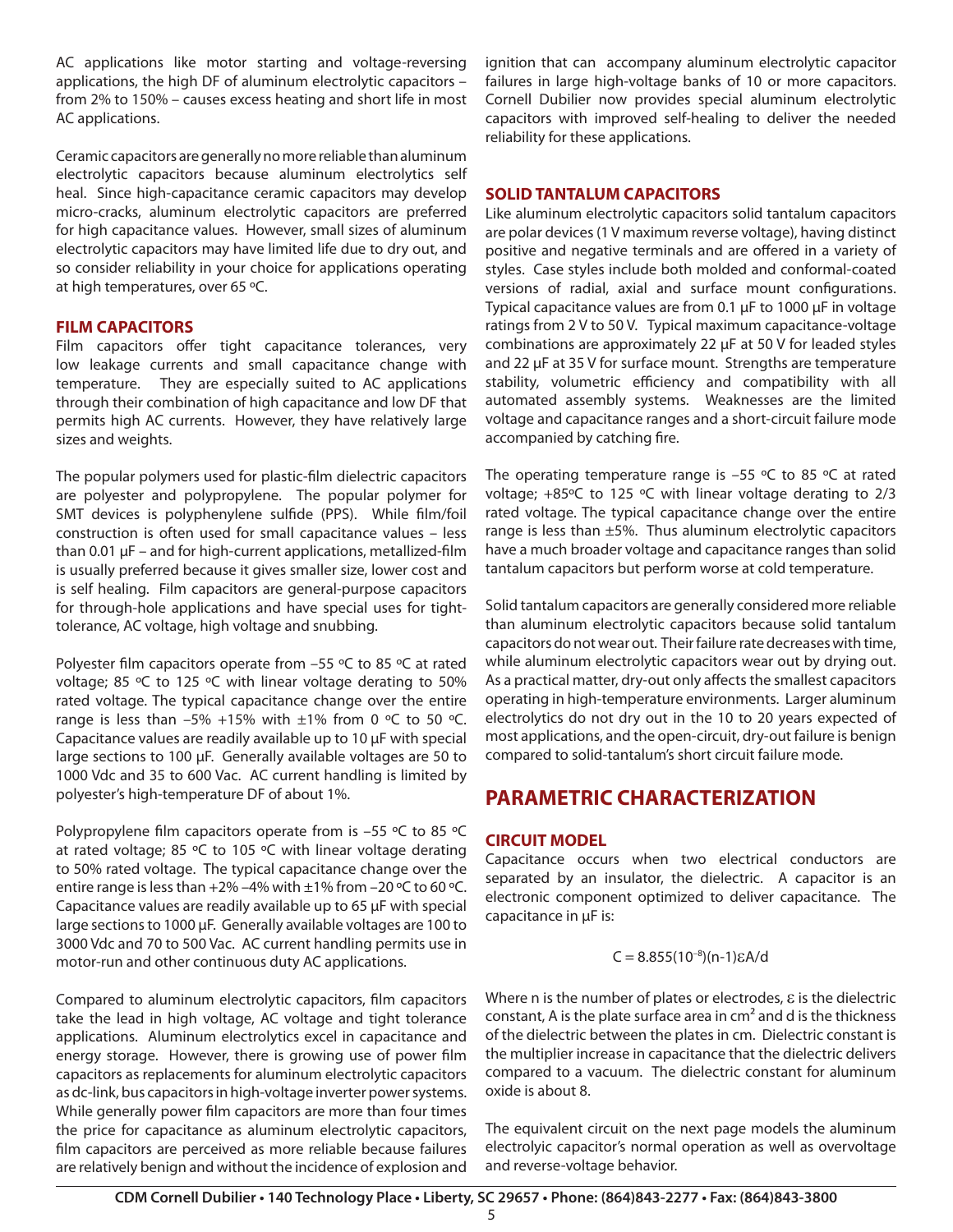AC applications like motor starting and voltage-reversing applications, the high DF of aluminum electrolytic capacitors – from 2% to 150% – causes excess heating and short life in most AC applications.

Ceramic capacitors are generally no more reliable than aluminum electrolytic capacitors because aluminum electrolytics self heal. Since high-capacitance ceramic capacitors may develop micro-cracks, aluminum electrolytic capacitors are preferred for high capacitance values. However, small sizes of aluminum electrolytic capacitors may have limited life due to dry out, and so consider reliability in your choice for applications operating at high temperatures, over 65 ºC.

#### **FILM CAPACITORS**

Film capacitors offer tight capacitance tolerances, very low leakage currents and small capacitance change with temperature. They are especially suited to AC applications through their combination of high capacitance and low DF that permits high AC currents. However, they have relatively large sizes and weights.

The popular polymers used for plastic-film dielectric capacitors are polyester and polypropylene. The popular polymer for SMT devices is polyphenylene sulfide (PPS). While film/foil construction is often used for small capacitance values – less than 0.01 µF – and for high-current applications, metallized-film is usually preferred because it gives smaller size, lower cost and is self healing. Film capacitors are general-purpose capacitors for through-hole applications and have special uses for tighttolerance, AC voltage, high voltage and snubbing.

Polyester film capacitors operate from –55 ºC to 85 ºC at rated voltage; 85 ºC to 125 ºC with linear voltage derating to 50% rated voltage. The typical capacitance change over the entire range is less than  $-5\%$  +15% with  $\pm 1\%$  from 0 °C to 50 °C. Capacitance values are readily available up to 10 µF with special large sections to 100 µF. Generally available voltages are 50 to 1000 Vdc and 35 to 600 Vac. AC current handling is limited by polyester's high-temperature DF of about 1%.

Polypropylene film capacitors operate from is -55 °C to 85 °C at rated voltage; 85 ºC to 105 ºC with linear voltage derating to 50% rated voltage. The typical capacitance change over the entire range is less than  $+2\%$  –4% with  $\pm 1\%$  from –20 °C to 60 °C. Capacitance values are readily available up to 65 µF with special large sections to 1000 µF. Generally available voltages are 100 to 3000 Vdc and 70 to 500 Vac. AC current handling permits use in motor-run and other continuous duty AC applications.

Compared to aluminum electrolytic capacitors, film capacitors take the lead in high voltage, AC voltage and tight tolerance applications. Aluminum electrolytics excel in capacitance and energy storage. However, there is growing use of power film capacitors as replacements for aluminum electrolytic capacitors as dc-link, bus capacitors in high-voltage inverter power systems. While generally power film capacitors are more than four times the price for capacitance as aluminum electrolytic capacitors, film capacitors are perceived as more reliable because failures are relatively benign and without the incidence of explosion and

ignition that can accompany aluminum electrolytic capacitor failures in large high-voltage banks of 10 or more capacitors. Cornell Dubilier now provides special aluminum electrolytic capacitors with improved self-healing to deliver the needed reliability for these applications.

# **SOLID TANTALUM CAPACITORS**

Like aluminum electrolytic capacitors solid tantalum capacitors are polar devices (1 V maximum reverse voltage), having distinct positive and negative terminals and are offered in a variety of styles. Case styles include both molded and conformal-coated versions of radial, axial and surface mount configurations. Typical capacitance values are from 0.1 µF to 1000 µF in voltage ratings from 2 V to 50 V. Typical maximum capacitance-voltage combinations are approximately 22 µF at 50 V for leaded styles and 22 µF at 35 V for surface mount. Strengths are temperature stability, volumetric efficiency and compatibility with all automated assembly systems. Weaknesses are the limited voltage and capacitance ranges and a short-circuit failure mode accompanied by catching fire.

The operating temperature range is  $-55$  °C to 85 °C at rated voltage; +85ºC to 125 ºC with linear voltage derating to 2/3 rated voltage. The typical capacitance change over the entire range is less than ±5%. Thus aluminum electrolytic capacitors have a much broader voltage and capacitance ranges than solid tantalum capacitors but perform worse at cold temperature.

Solid tantalum capacitors are generally considered more reliable than aluminum electrolytic capacitors because solid tantalum capacitors do not wear out. Their failure rate decreases with time, while aluminum electrolytic capacitors wear out by drying out. As a practical matter, dry-out only affects the smallest capacitors operating in high-temperature environments. Larger aluminum electrolytics do not dry out in the 10 to 20 years expected of most applications, and the open-circuit, dry-out failure is benign compared to solid-tantalum's short circuit failure mode.

# **PARAMETRIC CHARACTERIZATION**

# **CIRCUIT MODEL**

Capacitance occurs when two electrical conductors are separated by an insulator, the dielectric. A capacitor is an electronic component optimized to deliver capacitance. The capacitance in µF is:

#### $C = 8.855(10^{-8})(n-1)\epsilon A/d$

Where n is the number of plates or electrodes,  $\varepsilon$  is the dielectric constant, A is the plate surface area in  $cm<sup>2</sup>$  and d is the thickness of the dielectric between the plates in cm. Dielectric constant is the multiplier increase in capacitance that the dielectric delivers compared to a vacuum. The dielectric constant for aluminum oxide is about 8.

The equivalent circuit on the next page models the aluminum electrolyic capacitor's normal operation as well as overvoltage and reverse-voltage behavior.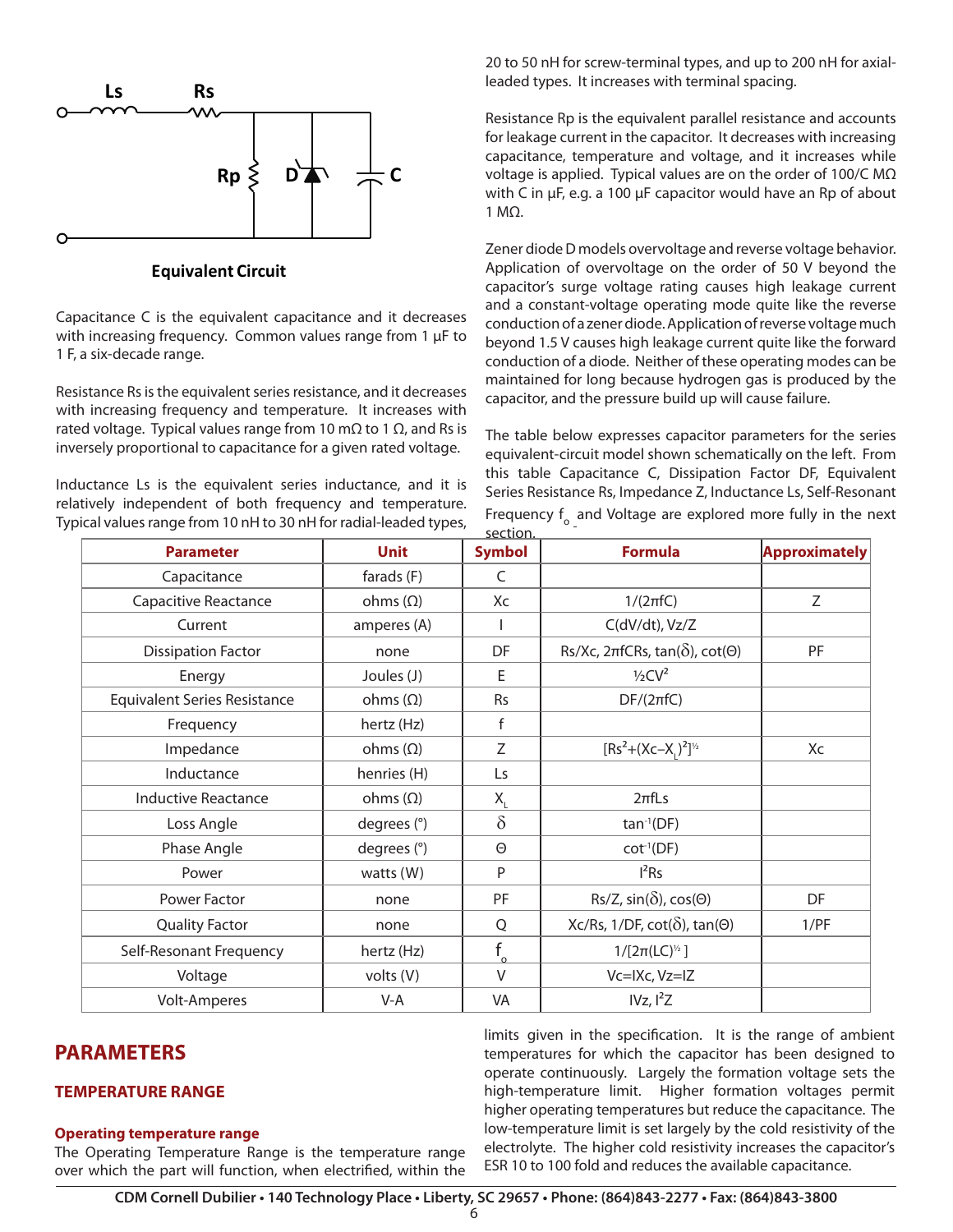

#### **Equivalent Circuit**

Capacitance C is the equivalent capacitance and it decreases with increasing frequency. Common values range from 1  $\mu$ F to 1 F, a six-decade range.

Resistance Rs is the equivalent series resistance, and it decreases with increasing frequency and temperature. It increases with rated voltage. Typical values range from 10 m $\Omega$  to 1  $\Omega$ , and Rs is inversely proportional to capacitance for a given rated voltage.

Inductance Ls is the equivalent series inductance, and it is relatively independent of both frequency and temperature. Typical values range from 10 nH to 30 nH for radial-leaded types, 20 to 50 nH for screw-terminal types, and up to 200 nH for axialleaded types. It increases with terminal spacing.

Resistance Rp is the equivalent parallel resistance and accounts for leakage current in the capacitor. It decreases with increasing capacitance, temperature and voltage, and it increases while voltage is applied. Typical values are on the order of 100/C M $\Omega$ with C in µF, e.g. a 100 µF capacitor would have an Rp of about 1 MΩ.

Zener diode D models overvoltage and reverse voltage behavior. Application of overvoltage on the order of 50 V beyond the capacitor's surge voltage rating causes high leakage current and a constant-voltage operating mode quite like the reverse conduction of a zener diode. Application of reverse voltage much beyond 1.5 V causes high leakage current quite like the forward conduction of a diode. Neither of these operating modes can be maintained for long because hydrogen gas is produced by the capacitor, and the pressure build up will cause failure.

The table below expresses capacitor parameters for the series equivalent-circuit model shown schematically on the left. From this table Capacitance C, Dissipation Factor DF, Equivalent Series Resistance Rs, Impedance Z, Inductance Ls, Self-Resonant Frequency  $f_{o}$  and Voltage are explored more fully in the next section.

| <b>Parameter</b>                    | <b>Unit</b>     | <b>Symbol</b> | <b>Formula</b>                                          | <b>Approximately</b> |
|-------------------------------------|-----------------|---------------|---------------------------------------------------------|----------------------|
| Capacitance                         | farads (F)      | C             |                                                         |                      |
| Capacitive Reactance                | ohms $(\Omega)$ | Xc            | $1/(2\pi fC)$                                           | Z                    |
| Current                             | amperes (A)     |               | C(dV/dt), Vz/Z                                          |                      |
| <b>Dissipation Factor</b>           | none            | DF            | Rs/Xc, $2\pi fCRs$ , $tan(\delta)$ , $cot(\Theta)$      | PF                   |
| Energy                              | Joules (J)      | E             | $1/2CV^2$                                               |                      |
| <b>Equivalent Series Resistance</b> | ohms $(\Omega)$ | <b>Rs</b>     | $DF/(2\pi fC)$                                          |                      |
| Frequency                           | hertz (Hz)      | $\mathsf{f}$  |                                                         |                      |
| Impedance                           | ohms $(\Omega)$ | Z             | $[Rs^2+(Xc-X_1)^2]^{1/2}$                               | Xc                   |
| Inductance                          | henries (H)     | Ls            |                                                         |                      |
| <b>Inductive Reactance</b>          | ohms $(\Omega)$ | $X_{i}$       | $2\pi f$ Ls                                             |                      |
| Loss Angle                          | degrees (°)     | $\delta$      | $tan^{-1}(DF)$                                          |                      |
| Phase Angle                         | degrees (°)     | $\Theta$      | $cot^{-1}(DF)$                                          |                      |
| Power                               | watts $(W)$     | P             | I <sup>2</sup> Rs                                       |                      |
| Power Factor                        | none            | PF            | $\text{Rs}/\text{Z}$ , sin( $\delta$ ), cos( $\Theta$ ) | DF                   |
| <b>Quality Factor</b>               | none            | Q             | $Xc/Rs$ , 1/DF, cot( $\delta$ ), tan( $\Theta$ )        | 1/PF                 |
| Self-Resonant Frequency             | hertz (Hz)      | $f_{\Omega}$  | $1/[2\pi (LC)^{1/2}]$                                   |                      |
| Voltage                             | volts (V)       | $\vee$        | Vc=IXc, Vz=IZ                                           |                      |
| <b>Volt-Amperes</b>                 | V-A             | <b>VA</b>     | IVz, I <sup>2</sup> Z                                   |                      |

# **PARAMETERS**

#### **TEMPERATURE RANGE**

#### **Operating temperature range**

The Operating Temperature Range is the temperature range over which the part will function, when electrified, within the

limits given in the specification. It is the range of ambient temperatures for which the capacitor has been designed to operate continuously. Largely the formation voltage sets the high-temperature limit. Higher formation voltages permit higher operating temperatures but reduce the capacitance. The low-temperature limit is set largely by the cold resistivity of the electrolyte. The higher cold resistivity increases the capacitor's ESR 10 to 100 fold and reduces the available capacitance.

6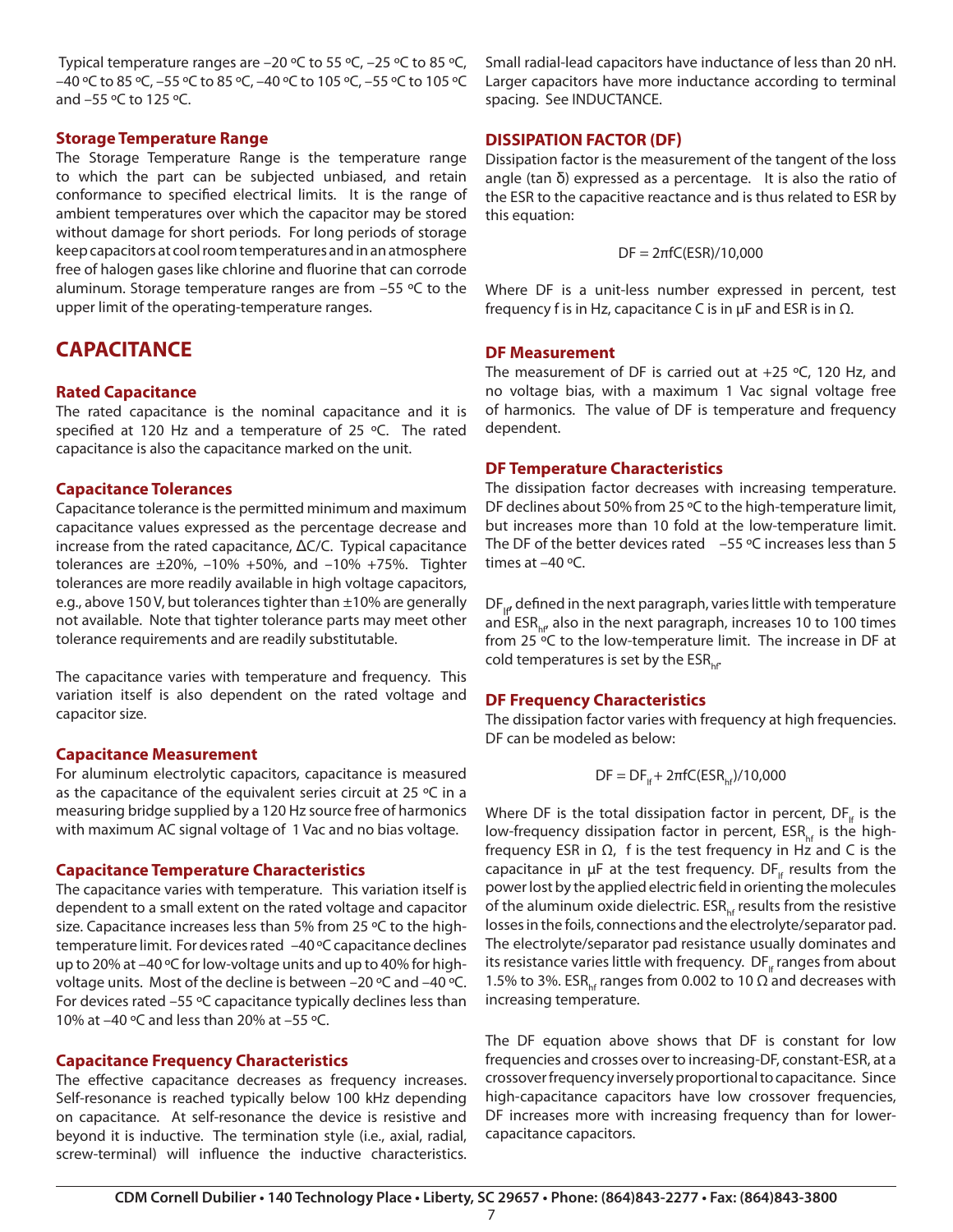Typical temperature ranges are –20 ºC to 55 ºC, –25 ºC to 85 ºC, –40 ºC to 85 ºC, –55 ºC to 85 ºC, –40 ºC to 105 ºC, –55 ºC to 105 ºC and –55 ºC to 125 ºC.

#### **Storage Temperature Range**

The Storage Temperature Range is the temperature range to which the part can be subjected unbiased, and retain conformance to specified electrical limits. It is the range of ambient temperatures over which the capacitor may be stored without damage for short periods. For long periods of storage keep capacitors at cool room temperatures and in an atmosphere free of halogen gases like chlorine and fluorine that can corrode aluminum. Storage temperature ranges are from –55 ºC to the upper limit of the operating-temperature ranges.

# **CAPACITANCE**

# **Rated Capacitance**

The rated capacitance is the nominal capacitance and it is specified at 120 Hz and a temperature of 25 ºC. The rated capacitance is also the capacitance marked on the unit.

### **Capacitance Tolerances**

Capacitance tolerance is the permitted minimum and maximum capacitance values expressed as the percentage decrease and increase from the rated capacitance, ΔC/C. Typical capacitance tolerances are  $\pm 20\%$ ,  $-10\%$  +50%, and  $-10\%$  +75%. Tighter tolerances are more readily available in high voltage capacitors, e.g., above 150 V, but tolerances tighter than  $\pm$ 10% are generally not available. Note that tighter tolerance parts may meet other tolerance requirements and are readily substitutable.

The capacitance varies with temperature and frequency. This variation itself is also dependent on the rated voltage and capacitor size.

### **Capacitance Measurement**

For aluminum electrolytic capacitors, capacitance is measured as the capacitance of the equivalent series circuit at 25 ºC in a measuring bridge supplied by a 120 Hz source free of harmonics with maximum AC signal voltage of 1 Vac and no bias voltage.

### **Capacitance Temperature Characteristics**

The capacitance varies with temperature. This variation itself is dependent to a small extent on the rated voltage and capacitor size. Capacitance increases less than 5% from 25 ºC to the hightemperature limit. For devices rated –40 ºC capacitance declines up to 20% at –40 ºC for low-voltage units and up to 40% for highvoltage units. Most of the decline is between -20 °C and -40 °C. For devices rated –55 ºC capacitance typically declines less than 10% at –40 ºC and less than 20% at –55 ºC.

# **Capacitance Frequency Characteristics**

The effective capacitance decreases as frequency increases. Self-resonance is reached typically below 100 kHz depending on capacitance. At self-resonance the device is resistive and beyond it is inductive. The termination style (i.e., axial, radial, screw-terminal) will influence the inductive characteristics.

Small radial-lead capacitors have inductance of less than 20 nH. Larger capacitors have more inductance according to terminal spacing. See INDUCTANCE.

# **DISSIPATION FACTOR (DF)**

Dissipation factor is the measurement of the tangent of the loss angle (tan δ) expressed as a percentage. It is also the ratio of the ESR to the capacitive reactance and is thus related to ESR by this equation:

$$
DF = 2\pi fC(ESR)/10,000
$$

Where DF is a unit-less number expressed in percent, test frequency f is in Hz, capacitance C is in  $\mu$ F and ESR is in  $\Omega$ .

### **DF Measurement**

The measurement of DF is carried out at  $+25$  °C, 120 Hz, and no voltage bias, with a maximum 1 Vac signal voltage free of harmonics. The value of DF is temperature and frequency dependent.

#### **DF Temperature Characteristics**

The dissipation factor decreases with increasing temperature. DF declines about 50% from 25 °C to the high-temperature limit, but increases more than 10 fold at the low-temperature limit. The DF of the better devices rated  $-55$  °C increases less than 5 times at –40 ºC.

 $DF_{\mu}$  defined in the next paragraph, varies little with temperature and  $ESR<sub>hf</sub>$  also in the next paragraph, increases 10 to 100 times from 25 ºC to the low-temperature limit. The increase in DF at cold temperatures is set by the  $ESR_{\text{ref}}$ .

### **DF Frequency Characteristics**

The dissipation factor varies with frequency at high frequencies. DF can be modeled as below:

$$
\mathsf{DF}=\mathsf{DF}_{\mathsf{lf}}+2\pi\mathsf{fC}(\mathsf{ESR}_{\mathsf{hf}})/10{,}000
$$

Where DF is the total dissipation factor in percent,  $DF_{\text{lf}}$  is the low-frequency dissipation factor in percent, ESR<sub>hf</sub> is the highfrequency ESR in  $\Omega$ , f is the test frequency in Hz and C is the capacitance in  $\mu$ F at the test frequency. DF<sub>If</sub> results from the power lost by the applied electric field in orienting the molecules of the aluminum oxide dielectric.  $ESR_{\text{hf}}$  results from the resistive losses in the foils, connections and the electrolyte/separator pad. The electrolyte/separator pad resistance usually dominates and its resistance varies little with frequency.  $DF_{\text{lf}}$  ranges from about 1.5% to 3%. ESR<sub>hf</sub> ranges from 0.002 to 10  $\Omega$  and decreases with increasing temperature.

The DF equation above shows that DF is constant for low frequencies and crosses over to increasing-DF, constant-ESR, at a crossover frequency inversely proportional to capacitance. Since high-capacitance capacitors have low crossover frequencies, DF increases more with increasing frequency than for lowercapacitance capacitors.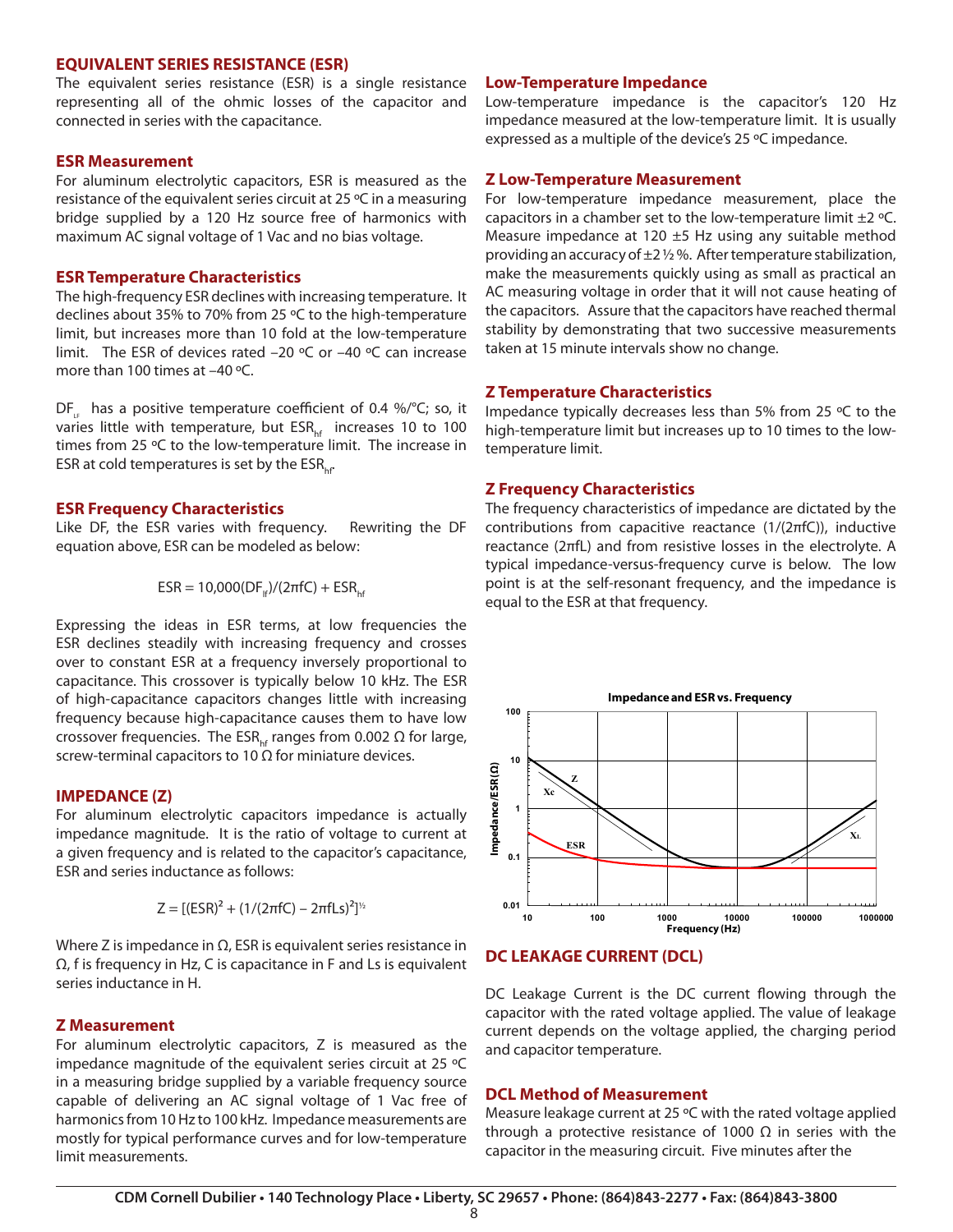#### **EQUIVALENT SERIES RESISTANCE (ESR)**

The equivalent series resistance (ESR) is a single resistance representing all of the ohmic losses of the capacitor and connected in series with the capacitance.

#### **ESR Measurement**

For aluminum electrolytic capacitors, ESR is measured as the resistance of the equivalent series circuit at 25 ºC in a measuring bridge supplied by a 120 Hz source free of harmonics with maximum AC signal voltage of 1 Vac and no bias voltage.

#### **ESR Temperature Characteristics**

The high-frequency ESR declines with increasing temperature. It declines about 35% to 70% from 25 ºC to the high-temperature limit, but increases more than 10 fold at the low-temperature limit. The ESR of devices rated –20 ºC or –40 ºC can increase more than 100 times at –40 ºC.

DF<sub>ig</sub> has a positive temperature coefficient of 0.4 %/°C; so, it varies little with temperature, but  $ESR_{\text{hf}}$  increases 10 to 100 times from 25 °C to the low-temperature limit. The increase in ESR at cold temperatures is set by the  $ESR_{\text{tot}}$ .

#### **ESR Frequency Characteristics**

Like DF, the ESR varies with frequency. Rewriting the DF equation above, ESR can be modeled as below:

$$
ESR = 10,000(DFh)/(2πfC) + ESRhf
$$

Expressing the ideas in ESR terms, at low frequencies the ESR declines steadily with increasing frequency and crosses over to constant ESR at a frequency inversely proportional to capacitance. This crossover is typically below 10 kHz. The ESR of high-capacitance capacitors changes little with increasing frequency because high-capacitance causes them to have low crossover frequencies. The ESR<sub>he</sub> ranges from 0.002  $\Omega$  for large, screw-terminal capacitors to 10  $\Omega$  for miniature devices.

#### **IMPEDANCE (Z)**

For aluminum electrolytic capacitors impedance is actually impedance magnitude. It is the ratio of voltage to current at a given frequency and is related to the capacitor's capacitance, ESR and series inductance as follows:

$$
Z = [(ESR)^{2} + (1/(2\pi fC) - 2\pi fLs)^{2}]^{\frac{1}{2}}
$$

Where Z is impedance in  $\Omega$ , ESR is equivalent series resistance in Ω, f is frequency in Hz, C is capacitance in F and Ls is equivalent series inductance in H.

#### **Z Measurement**

For aluminum electrolytic capacitors, Z is measured as the impedance magnitude of the equivalent series circuit at 25 ºC in a measuring bridge supplied by a variable frequency source capable of delivering an AC signal voltage of 1 Vac free of harmonics from 10 Hz to 100 kHz. Impedance measurements are mostly for typical performance curves and for low-temperature limit measurements.

#### **Low-Temperature Impedance**

Low-temperature impedance is the capacitor's 120 Hz impedance measured at the low-temperature limit. It is usually expressed as a multiple of the device's 25 ºC impedance.

#### **Z Low-Temperature Measurement**

For low-temperature impedance measurement, place the capacitors in a chamber set to the low-temperature limit  $\pm 2$  °C. Measure impedance at 120  $\pm$ 5 Hz using any suitable method providing an accuracy of  $\pm 2$  % %. After temperature stabilization, make the measurements quickly using as small as practical an AC measuring voltage in order that it will not cause heating of the capacitors. Assure that the capacitors have reached thermal stability by demonstrating that two successive measurements taken at 15 minute intervals show no change.

#### **Z Temperature Characteristics**

Impedance typically decreases less than 5% from 25 ºC to the high-temperature limit but increases up to 10 times to the lowtemperature limit.

#### **Z Frequency Characteristics**

The frequency characteristics of impedance are dictated by the contributions from capacitive reactance (1/(2πfC)), inductive reactance (2πfL) and from resistive losses in the electrolyte. A typical impedance-versus-frequency curve is below. The low point is at the self-resonant frequency, and the impedance is equal to the ESR at that frequency.



#### **DC LEAKAGE CURRENT (DCL)**

DC Leakage Current is the DC current flowing through the capacitor with the rated voltage applied. The value of leakage current depends on the voltage applied, the charging period and capacitor temperature.

#### **DCL Method of Measurement**

Measure leakage current at 25 ºC with the rated voltage applied through a protective resistance of 1000  $\Omega$  in series with the capacitor in the measuring circuit. Five minutes after the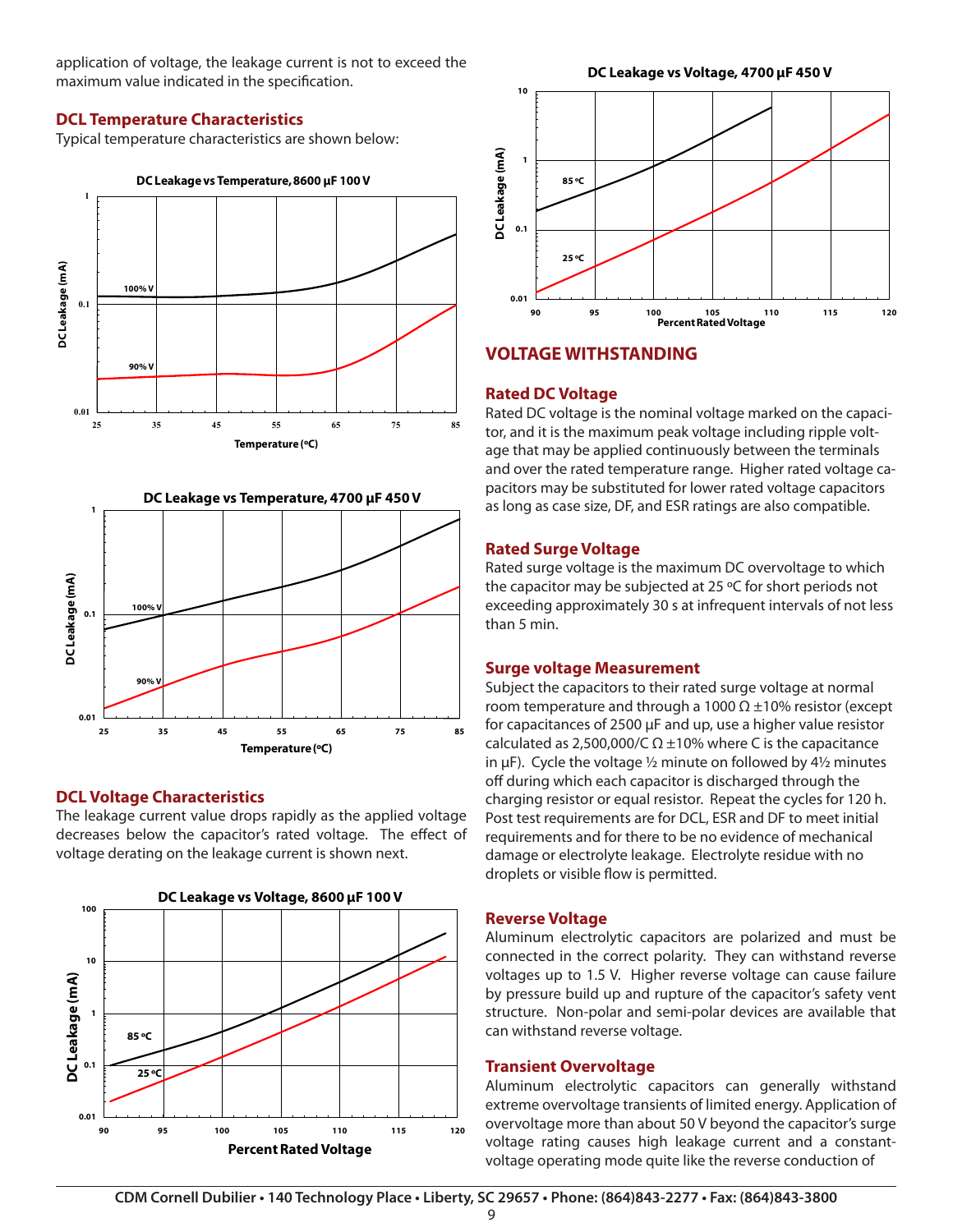application of voltage, the leakage current is not to exceed the maximum value indicated in the specification.

# **DCL Temperature Characteristics**

Typical temperature characteristics are shown below:



### **DCL Voltage Characteristics**

The leakage current value drops rapidly as the applied voltage decreases below the capacitor's rated voltage. The effect of voltage derating on the leakage current is shown next.

**Temperature (ºC)**





# **VOLTAGE WITHSTANDING**

### **Rated DC Voltage**

Rated DC voltage is the nominal voltage marked on the capacitor, and it is the maximum peak voltage including ripple voltage that may be applied continuously between the terminals and over the rated temperature range. Higher rated voltage capacitors may be substituted for lower rated voltage capacitors as long as case size, DF, and ESR ratings are also compatible.

# **Rated Surge Voltage**

Rated surge voltage is the maximum DC overvoltage to which the capacitor may be subjected at 25 ºC for short periods not exceeding approximately 30 s at infrequent intervals of not less than 5 min.

### **Surge voltage Measurement**

Subject the capacitors to their rated surge voltage at normal room temperature and through a 1000  $\Omega$  ±10% resistor (except for capacitances of 2500 µF and up, use a higher value resistor calculated as 2,500,000/C  $\Omega$  ±10% where C is the capacitance in  $\mu$ F). Cycle the voltage  $\frac{1}{2}$  minute on followed by 4 $\frac{1}{2}$  minutes off during which each capacitor is discharged through the charging resistor or equal resistor. Repeat the cycles for 120 h. Post test requirements are for DCL, ESR and DF to meet initial requirements and for there to be no evidence of mechanical damage or electrolyte leakage. Electrolyte residue with no droplets or visible flow is permitted.

### **Reverse Voltage**

Aluminum electrolytic capacitors are polarized and must be connected in the correct polarity. They can withstand reverse voltages up to 1.5 V. Higher reverse voltage can cause failure by pressure build up and rupture of the capacitor's safety vent structure. Non-polar and semi-polar devices are available that can withstand reverse voltage.

### **Transient Overvoltage**

Aluminum electrolytic capacitors can generally withstand extreme overvoltage transients of limited energy. Application of overvoltage more than about 50 V beyond the capacitor's surge voltage rating causes high leakage current and a constantvoltage operating mode quite like the reverse conduction of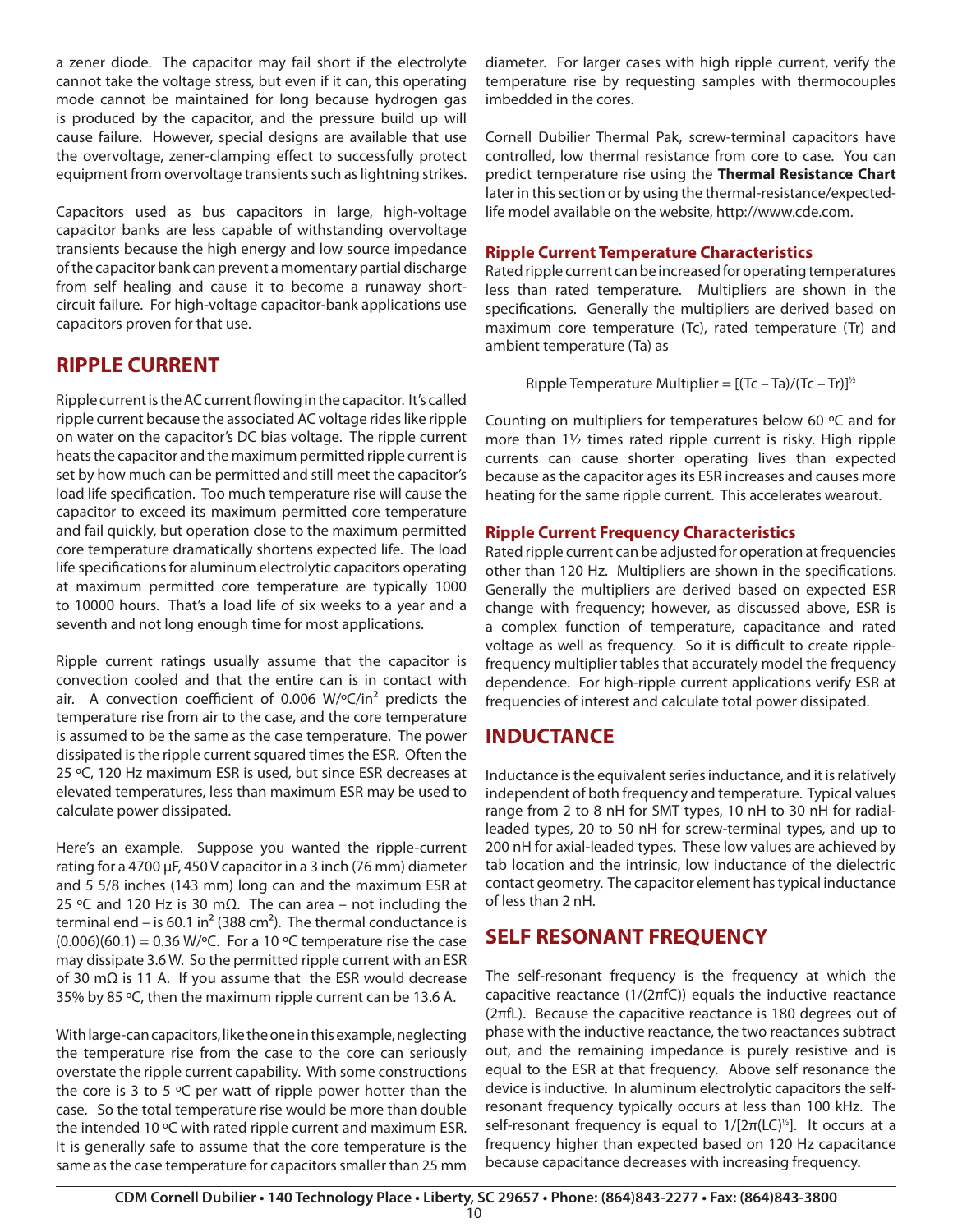a zener diode. The capacitor may fail short if the electrolyte cannot take the voltage stress, but even if it can, this operating mode cannot be maintained for long because hydrogen gas is produced by the capacitor, and the pressure build up will cause failure. However, special designs are available that use the overvoltage, zener-clamping effect to successfully protect equipment from overvoltage transients such as lightning strikes.

Capacitors used as bus capacitors in large, high-voltage capacitor banks are less capable of withstanding overvoltage transients because the high energy and low source impedance of the capacitor bank can prevent a momentary partial discharge from self healing and cause it to become a runaway shortcircuit failure. For high-voltage capacitor-bank applications use capacitors proven for that use.

# **RIPPLE CURRENT**

Ripple current is the AC current flowing in the capacitor. It's called ripple current because the associated AC voltage rides like ripple on water on the capacitor's DC bias voltage. The ripple current heats the capacitor and the maximum permitted ripple current is set by how much can be permitted and still meet the capacitor's load life specification. Too much temperature rise will cause the capacitor to exceed its maximum permitted core temperature and fail quickly, but operation close to the maximum permitted core temperature dramatically shortens expected life. The load life specifications for aluminum electrolytic capacitors operating at maximum permitted core temperature are typically 1000 to 10000 hours. That's a load life of six weeks to a year and a seventh and not long enough time for most applications.

Ripple current ratings usually assume that the capacitor is convection cooled and that the entire can is in contact with air. A convection coefficient of 0.006  $W$ <sup>o</sup>C/in<sup>2</sup> predicts the temperature rise from air to the case, and the core temperature is assumed to be the same as the case temperature. The power dissipated is the ripple current squared times the ESR. Often the 25 ºC, 120 Hz maximum ESR is used, but since ESR decreases at elevated temperatures, less than maximum ESR may be used to calculate power dissipated.

Here's an example. Suppose you wanted the ripple-current rating for a 4700 µF, 450 V capacitor in a 3 inch (76 mm) diameter and 5 5/8 inches (143 mm) long can and the maximum ESR at 25 ºC and 120 Hz is 30 mΩ. The can area – not including the terminal end – is 60.1 in<sup>2</sup> (388 cm<sup>2</sup>). The thermal conductance is  $(0.006)(60.1) = 0.36$  W/ $\degree$ C. For a 10  $\degree$ C temperature rise the case may dissipate 3.6 W. So the permitted ripple current with an ESR of 30 mΩ is 11 A. If you assume that the ESR would decrease 35% by 85 ºC, then the maximum ripple current can be 13.6 A.

With large-can capacitors, like the one in this example, neglecting the temperature rise from the case to the core can seriously overstate the ripple current capability. With some constructions the core is 3 to 5  $\degree$ C per watt of ripple power hotter than the case. So the total temperature rise would be more than double the intended 10 ºC with rated ripple current and maximum ESR. It is generally safe to assume that the core temperature is the same as the case temperature for capacitors smaller than 25 mm

diameter. For larger cases with high ripple current, verify the temperature rise by requesting samples with thermocouples imbedded in the cores.

Cornell Dubilier Thermal Pak, screw-terminal capacitors have controlled, low thermal resistance from core to case. You can predict temperature rise using the **Thermal Resistance Chart** later in this section or by using the thermal-resistance/expectedlife model available on the website, http://www.cde.com.

# **Ripple Current Temperature Characteristics**

Rated ripple current can be increased for operating temperatures less than rated temperature. Multipliers are shown in the specifications. Generally the multipliers are derived based on maximum core temperature (Tc), rated temperature (Tr) and ambient temperature (Ta) as

Ripple Temperature Multiplier =  $[(Tc - Ta)/(Tc - Tr)]^{1/2}$ 

Counting on multipliers for temperatures below 60 ºC and for more than 1½ times rated ripple current is risky. High ripple currents can cause shorter operating lives than expected because as the capacitor ages its ESR increases and causes more heating for the same ripple current. This accelerates wearout.

# **Ripple Current Frequency Characteristics**

Rated ripple current can be adjusted for operation at frequencies other than 120 Hz. Multipliers are shown in the specifications. Generally the multipliers are derived based on expected ESR change with frequency; however, as discussed above, ESR is a complex function of temperature, capacitance and rated voltage as well as frequency. So it is difficult to create ripplefrequency multiplier tables that accurately model the frequency dependence. For high-ripple current applications verify ESR at frequencies of interest and calculate total power dissipated.

# **INDUCTANCE**

Inductance is the equivalent series inductance, and it is relatively independent of both frequency and temperature. Typical values range from 2 to 8 nH for SMT types, 10 nH to 30 nH for radialleaded types, 20 to 50 nH for screw-terminal types, and up to 200 nH for axial-leaded types. These low values are achieved by tab location and the intrinsic, low inductance of the dielectric contact geometry. The capacitor element has typical inductance of less than 2 nH.

# **SELF RESONANT FREQUENCY**

The self-resonant frequency is the frequency at which the capacitive reactance (1/(2πfC)) equals the inductive reactance (2πfL). Because the capacitive reactance is 180 degrees out of phase with the inductive reactance, the two reactances subtract out, and the remaining impedance is purely resistive and is equal to the ESR at that frequency. Above self resonance the device is inductive. In aluminum electrolytic capacitors the selfresonant frequency typically occurs at less than 100 kHz. The self-resonant frequency is equal to  $1/[2\pi (LC)^{1/2}]$ . It occurs at a frequency higher than expected based on 120 Hz capacitance because capacitance decreases with increasing frequency.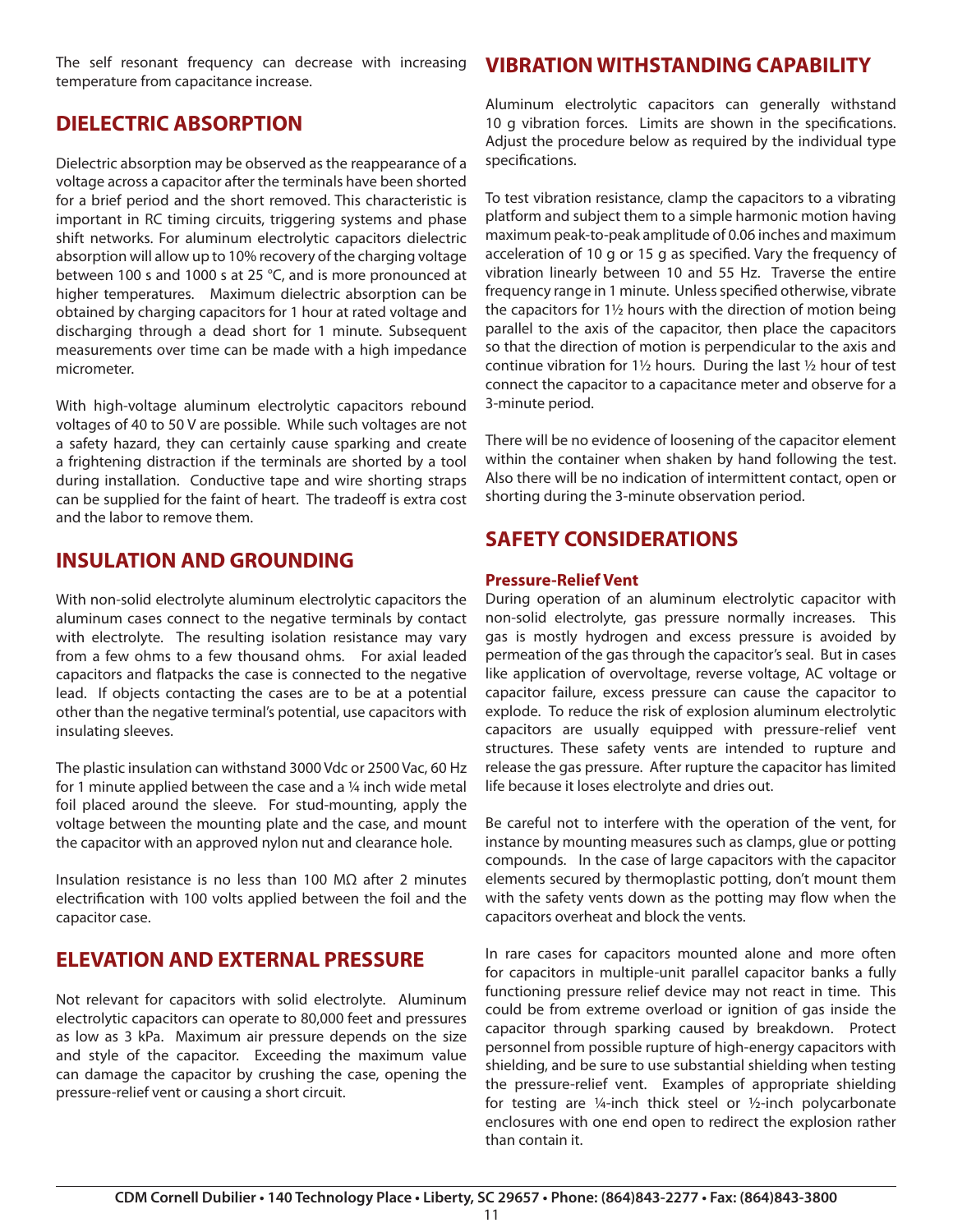The self resonant frequency can decrease with increasing temperature from capacitance increase.

# **DIELECTRIC ABSORPTION**

Dielectric absorption may be observed as the reappearance of a voltage across a capacitor after the terminals have been shorted for a brief period and the short removed. This characteristic is important in RC timing circuits, triggering systems and phase shift networks. For aluminum electrolytic capacitors dielectric absorption will allow up to 10% recovery of the charging voltage between 100 s and 1000 s at 25 °C, and is more pronounced at higher temperatures. Maximum dielectric absorption can be obtained by charging capacitors for 1 hour at rated voltage and discharging through a dead short for 1 minute. Subsequent measurements over time can be made with a high impedance micrometer.

With high-voltage aluminum electrolytic capacitors rebound voltages of 40 to 50 V are possible. While such voltages are not a safety hazard, they can certainly cause sparking and create a frightening distraction if the terminals are shorted by a tool during installation. Conductive tape and wire shorting straps can be supplied for the faint of heart. The tradeoff is extra cost and the labor to remove them.

# **INSULATION AND GROUNDING**

With non-solid electrolyte aluminum electrolytic capacitors the aluminum cases connect to the negative terminals by contact with electrolyte. The resulting isolation resistance may vary from a few ohms to a few thousand ohms. For axial leaded capacitors and flatpacks the case is connected to the negative lead. If objects contacting the cases are to be at a potential other than the negative terminal's potential, use capacitors with insulating sleeves.

The plastic insulation can withstand 3000 Vdc or 2500 Vac, 60 Hz for 1 minute applied between the case and a ¼ inch wide metal foil placed around the sleeve. For stud-mounting, apply the voltage between the mounting plate and the case, and mount the capacitor with an approved nylon nut and clearance hole.

Insulation resistance is no less than 100 MΩ after 2 minutes electrification with 100 volts applied between the foil and the capacitor case.

# **ELEVATION AND EXTERNAL PRESSURE**

Not relevant for capacitors with solid electrolyte. Aluminum electrolytic capacitors can operate to 80,000 feet and pressures as low as 3 kPa. Maximum air pressure depends on the size and style of the capacitor. Exceeding the maximum value can damage the capacitor by crushing the case, opening the pressure-relief vent or causing a short circuit.

# **VIBRATION WITHSTANDING CAPABILITY**

Aluminum electrolytic capacitors can generally withstand 10 g vibration forces. Limits are shown in the specifications. Adjust the procedure below as required by the individual type specifications.

To test vibration resistance, clamp the capacitors to a vibrating platform and subject them to a simple harmonic motion having maximum peak-to-peak amplitude of 0.06 inches and maximum acceleration of 10 g or 15 g as specified. Vary the frequency of vibration linearly between 10 and 55 Hz. Traverse the entire frequency range in 1 minute. Unless specified otherwise, vibrate the capacitors for 1½ hours with the direction of motion being parallel to the axis of the capacitor, then place the capacitors so that the direction of motion is perpendicular to the axis and continue vibration for 1½ hours. During the last ½ hour of test connect the capacitor to a capacitance meter and observe for a 3-minute period.

There will be no evidence of loosening of the capacitor element within the container when shaken by hand following the test. Also there will be no indication of intermittent contact, open or shorting during the 3-minute observation period.

# **SAFETY CONSIDERATIONS**

### **Pressure-Relief Vent**

During operation of an aluminum electrolytic capacitor with non-solid electrolyte, gas pressure normally increases. This gas is mostly hydrogen and excess pressure is avoided by permeation of the gas through the capacitor's seal. But in cases like application of overvoltage, reverse voltage, AC voltage or capacitor failure, excess pressure can cause the capacitor to explode. To reduce the risk of explosion aluminum electrolytic capacitors are usually equipped with pressure-relief vent structures. These safety vents are intended to rupture and release the gas pressure. After rupture the capacitor has limited life because it loses electrolyte and dries out.

Be careful not to interfere with the operation of the vent, for instance by mounting measures such as clamps, glue or potting compounds. In the case of large capacitors with the capacitor elements secured by thermoplastic potting, don't mount them with the safety vents down as the potting may flow when the capacitors overheat and block the vents.

In rare cases for capacitors mounted alone and more often for capacitors in multiple-unit parallel capacitor banks a fully functioning pressure relief device may not react in time. This could be from extreme overload or ignition of gas inside the capacitor through sparking caused by breakdown. Protect personnel from possible rupture of high-energy capacitors with shielding, and be sure to use substantial shielding when testing the pressure-relief vent. Examples of appropriate shielding for testing are ¼-inch thick steel or ½-inch polycarbonate enclosures with one end open to redirect the explosion rather than contain it.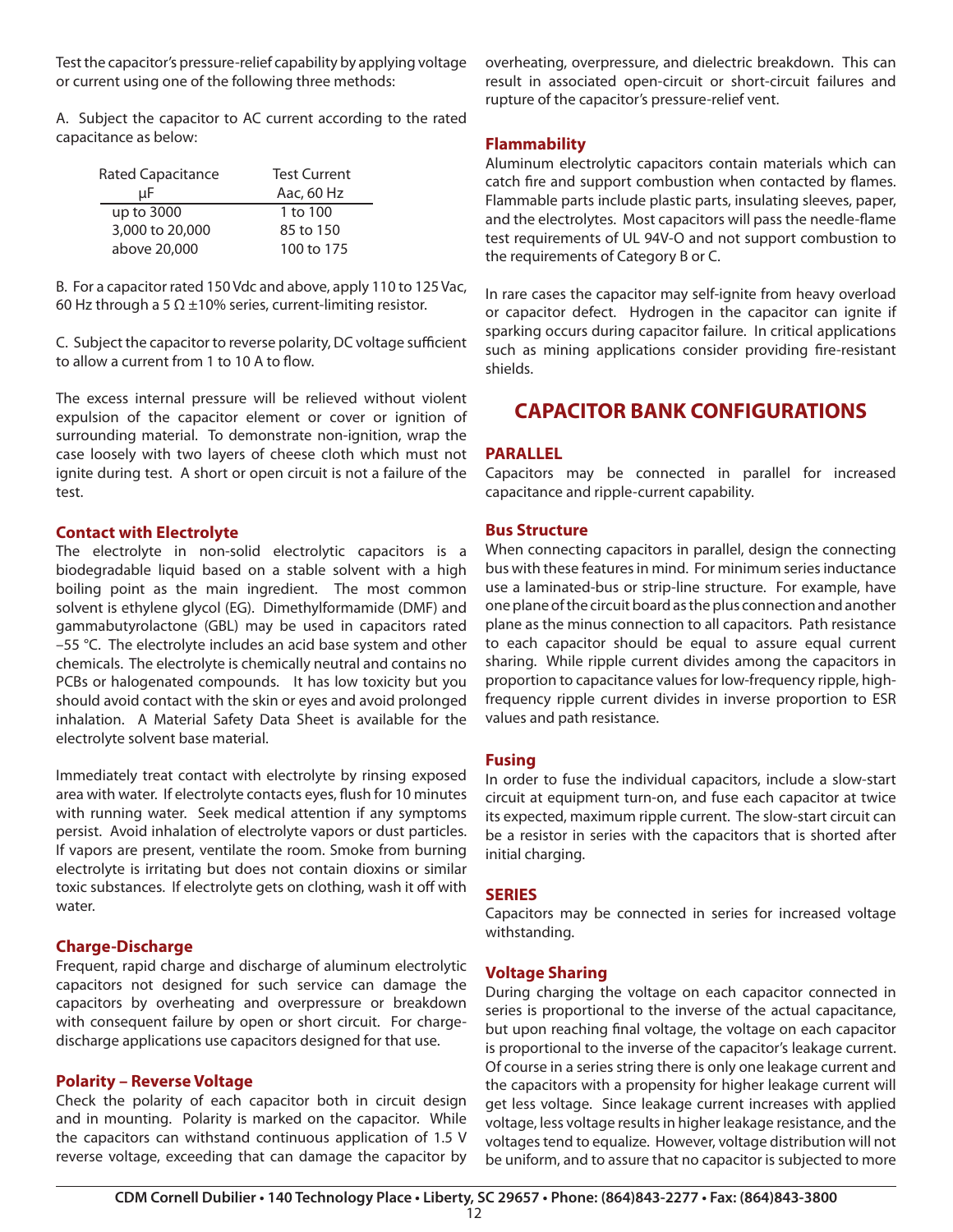Test the capacitor's pressure-relief capability by applying voltage or current using one of the following three methods:

A. Subject the capacitor to AC current according to the rated capacitance as below:

| Rated Capacitance | <b>Test Current</b> |
|-------------------|---------------------|
| uF                | Aac, 60 Hz          |
| up to 3000        | 1 to 100            |
| 3,000 to 20,000   | 85 to 150           |
| above 20,000      | 100 to 175          |

B. For a capacitor rated 150 Vdc and above, apply 110 to 125 Vac, 60 Hz through a 5  $\Omega$  ±10% series, current-limiting resistor.

C. Subject the capacitor to reverse polarity, DC voltage sufficient to allow a current from 1 to 10 A to flow.

The excess internal pressure will be relieved without violent expulsion of the capacitor element or cover or ignition of surrounding material. To demonstrate non-ignition, wrap the case loosely with two layers of cheese cloth which must not ignite during test. A short or open circuit is not a failure of the test.

#### **Contact with Electrolyte**

The electrolyte in non-solid electrolytic capacitors is a biodegradable liquid based on a stable solvent with a high boiling point as the main ingredient. The most common solvent is ethylene glycol (EG). Dimethylformamide (DMF) and gammabutyrolactone (GBL) may be used in capacitors rated –55 °C. The electrolyte includes an acid base system and other chemicals. The electrolyte is chemically neutral and contains no PCBs or halogenated compounds. It has low toxicity but you should avoid contact with the skin or eyes and avoid prolonged inhalation. A Material Safety Data Sheet is available for the electrolyte solvent base material.

Immediately treat contact with electrolyte by rinsing exposed area with water. If electrolyte contacts eyes, flush for 10 minutes with running water. Seek medical attention if any symptoms persist. Avoid inhalation of electrolyte vapors or dust particles. If vapors are present, ventilate the room. Smoke from burning electrolyte is irritating but does not contain dioxins or similar toxic substances. If electrolyte gets on clothing, wash it off with water.

### **Charge-Discharge**

Frequent, rapid charge and discharge of aluminum electrolytic capacitors not designed for such service can damage the capacitors by overheating and overpressure or breakdown with consequent failure by open or short circuit. For chargedischarge applications use capacitors designed for that use.

### **Polarity – Reverse Voltage**

Check the polarity of each capacitor both in circuit design and in mounting. Polarity is marked on the capacitor. While the capacitors can withstand continuous application of 1.5 V reverse voltage, exceeding that can damage the capacitor by

overheating, overpressure, and dielectric breakdown. This can result in associated open-circuit or short-circuit failures and rupture of the capacitor's pressure-relief vent.

### **Flammability**

Aluminum electrolytic capacitors contain materials which can catch fire and support combustion when contacted by flames. Flammable parts include plastic parts, insulating sleeves, paper, and the electrolytes. Most capacitors will pass the needle-flame test requirements of UL 94V-O and not support combustion to the requirements of Category B or C.

In rare cases the capacitor may self-ignite from heavy overload or capacitor defect. Hydrogen in the capacitor can ignite if sparking occurs during capacitor failure. In critical applications such as mining applications consider providing fire-resistant shields.

# **CAPACITOR BANK CONFIGURATIONS**

#### **PARALLEL**

Capacitors may be connected in parallel for increased capacitance and ripple-current capability.

#### **Bus Structure**

When connecting capacitors in parallel, design the connecting bus with these features in mind. For minimum series inductance use a laminated-bus or strip-line structure. For example, have one plane of the circuit board as the plus connection and another plane as the minus connection to all capacitors. Path resistance to each capacitor should be equal to assure equal current sharing. While ripple current divides among the capacitors in proportion to capacitance values for low-frequency ripple, highfrequency ripple current divides in inverse proportion to ESR values and path resistance.

#### **Fusing**

In order to fuse the individual capacitors, include a slow-start circuit at equipment turn-on, and fuse each capacitor at twice its expected, maximum ripple current. The slow-start circuit can be a resistor in series with the capacitors that is shorted after initial charging.

### **SERIES**

Capacitors may be connected in series for increased voltage withstanding.

### **Voltage Sharing**

During charging the voltage on each capacitor connected in series is proportional to the inverse of the actual capacitance, but upon reaching final voltage, the voltage on each capacitor is proportional to the inverse of the capacitor's leakage current. Of course in a series string there is only one leakage current and the capacitors with a propensity for higher leakage current will get less voltage. Since leakage current increases with applied voltage, less voltage results in higher leakage resistance, and the voltages tend to equalize. However, voltage distribution will not be uniform, and to assure that no capacitor is subjected to more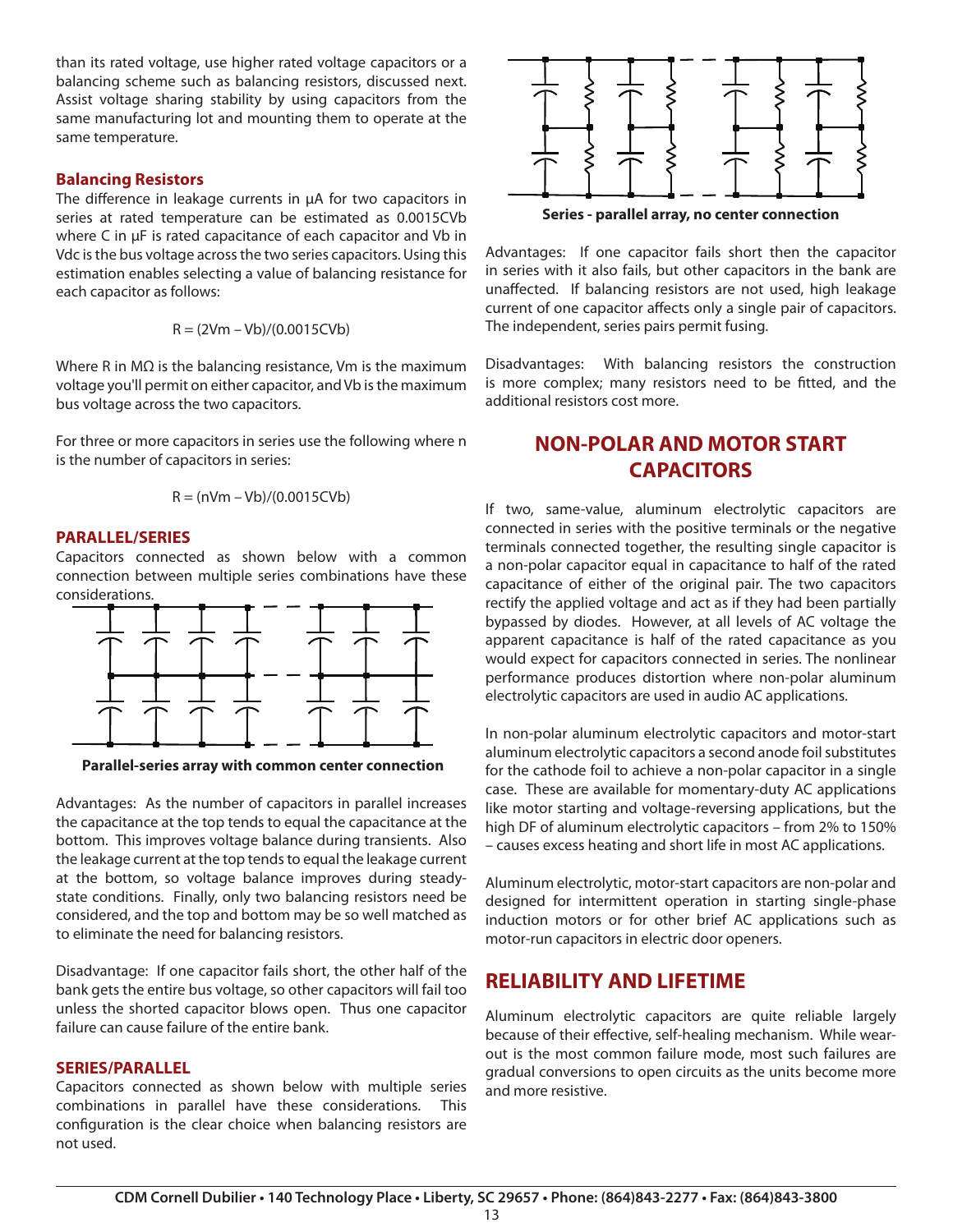than its rated voltage, use higher rated voltage capacitors or a balancing scheme such as balancing resistors, discussed next. Assist voltage sharing stability by using capacitors from the same manufacturing lot and mounting them to operate at the same temperature.

#### **Balancing Resistors**

The difference in leakage currents in μA for two capacitors in series at rated temperature can be estimated as 0.0015CVb where C in μF is rated capacitance of each capacitor and Vb in Vdc is the bus voltage across the two series capacitors. Using this estimation enables selecting a value of balancing resistance for each capacitor as follows:

$$
R = (2Vm - Vb)/(0.0015CVb)
$$

Where R in MΩ is the balancing resistance, Vm is the maximum voltage you'll permit on either capacitor, and Vb is the maximum bus voltage across the two capacitors.

For three or more capacitors in series use the following where n is the number of capacitors in series:

$$
R = (nVm - Vb)/(0.0015CVb)
$$

#### **PARALLEL/SERIES**

Capacitors connected as shown below with a common connection between multiple series combinations have these considerations.



**Parallel-series array with common center connection Parallel-series array with common center connection**

Advantages: As the number of capacitors in parallel increases the capacitance at the top tends to equal the capacitance at the bottom. This improves voltage balance during transients. Also the leakage current at the top tends to equal the leakage current at the bottom, so voltage balance improves during steadystate conditions. Finally, only two balancing resistors need be considered, and the top and bottom may be so well matched as to eliminate the need for balancing resistors.

Disadvantage: If one capacitor fails short, the other half of the bank gets the entire bus voltage, so other capacitors will fail too unless the shorted capacitor blows open. Thus one capacitor failure can cause failure of the entire bank.

#### **SERIES/PARALLEL**

Capacitors connected as shown below with multiple series combinations in parallel have these considerations. This configuration is the clear choice when balancing resistors are not used.



**Series - parallel array, no center connection**

Advantages: If one capacitor fails short then the capacitor in series with it also fails, but other capacitors in the bank are unaffected. If balancing resistors are not used, high leakage current of one capacitor affects only a single pair of capacitors. The independent, series pairs permit fusing.

Disadvantages: With balancing resistors the construction is more complex; many resistors need to be fitted, and the additional resistors cost more.

# **NON-POLAR AND MOTOR START CAPACITORS**

If two, same-value, aluminum electrolytic capacitors are connected in series with the positive terminals or the negative terminals connected together, the resulting single capacitor is a non-polar capacitor equal in capacitance to half of the rated capacitance of either of the original pair. The two capacitors rectify the applied voltage and act as if they had been partially bypassed by diodes. However, at all levels of AC voltage the apparent capacitance is half of the rated capacitance as you would expect for capacitors connected in series. The nonlinear performance produces distortion where non-polar aluminum electrolytic capacitors are used in audio AC applications.

In non-polar aluminum electrolytic capacitors and motor-start aluminum electrolytic capacitors a second anode foil substitutes for the cathode foil to achieve a non-polar capacitor in a single case. These are available for momentary-duty AC applications like motor starting and voltage-reversing applications, but the high DF of aluminum electrolytic capacitors – from 2% to 150% – causes excess heating and short life in most AC applications.

Aluminum electrolytic, motor-start capacitors are non-polar and designed for intermittent operation in starting single-phase induction motors or for other brief AC applications such as motor-run capacitors in electric door openers.

# **RELIABILITY AND LIFETIME**

Aluminum electrolytic capacitors are quite reliable largely because of their effective, self-healing mechanism. While wearout is the most common failure mode, most such failures are gradual conversions to open circuits as the units become more and more resistive.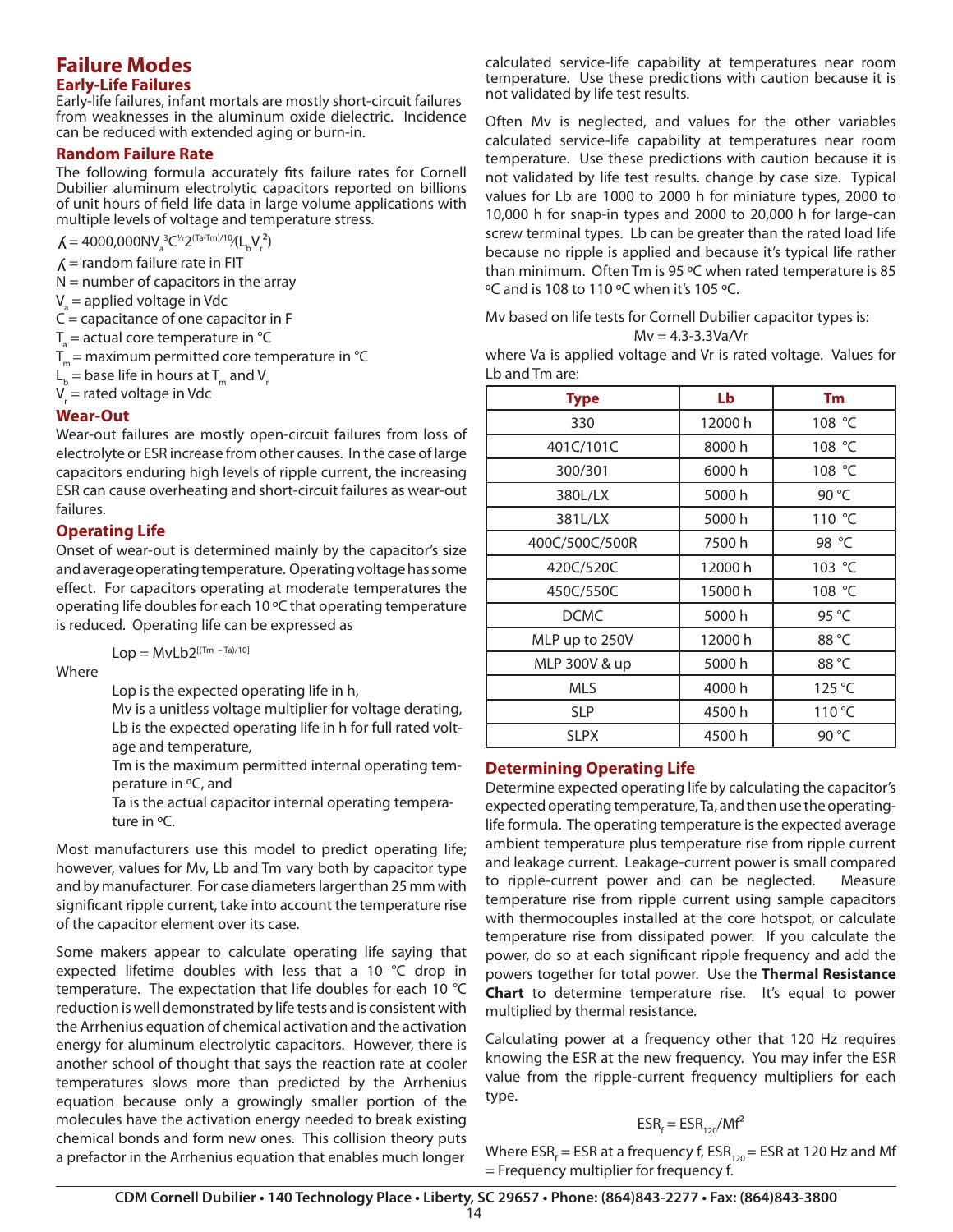## **Failure Modes Early-Life Failures**

Early-life failures, infant mortals are mostly short-circuit failures from weaknesses in the aluminum oxide dielectric. Incidence can be reduced with extended aging or burn-in.

## **Random Failure Rate**

The following formula accurately fits failure rates for Cornell Dubilier aluminum electrolytic capacitors reported on billions of unit hours of field life data in large volume applications with multiple levels of voltage and temperature stress.

 $\mathcal{N} = 4000,000$ NV<sub>a</sub><sup>2</sup>C<sup>1/2</sup>2<sup>(Ta-Tm)/10</sup>/(L<sub>b</sub>V<sub>r</sub><sup>2</sup>)

- $\Lambda$  = random failure rate in FIT
- $N =$  number of capacitors in the array
- V<sub>a</sub> = applied voltage in Vdc
- $C =$  capacitance of one capacitor in F
- $T_{\rm a}$  = actual core temperature in °C
- $T_m$  = maximum permitted core temperature in  $°C$
- $\mathsf{L}_{_{\bf b}}$  = base life in hours at T<sub>m</sub> and V<sub>r</sub>
- V<sub>r</sub> = rated voltage in Vdc

#### **Wear-Out**

Wear-out failures are mostly open-circuit failures from loss of electrolyte or ESR increase from other causes. In the case of large capacitors enduring high levels of ripple current, the increasing ESR can cause overheating and short-circuit failures as wear-out failures.

#### **Operating Life**

Onset of wear-out is determined mainly by the capacitor's size and average operating temperature. Operating voltage has some effect. For capacitors operating at moderate temperatures the operating life doubles for each 10 ºC that operating temperature is reduced. Operating life can be expressed as

 $Lop = MvLb2^{[(Tm - Ta)/10]}$ 

Where

Lop is the expected operating life in h,

Mv is a unitless voltage multiplier for voltage derating, Lb is the expected operating life in h for full rated voltage and temperature,

Tm is the maximum permitted internal operating temperature in ºC, and

Ta is the actual capacitor internal operating temperature in ºC.

Most manufacturers use this model to predict operating life; however, values for Mv, Lb and Tm vary both by capacitor type and by manufacturer. For case diameters larger than 25 mm with significant ripple current, take into account the temperature rise of the capacitor element over its case.

Some makers appear to calculate operating life saying that expected lifetime doubles with less that a 10 °C drop in temperature. The expectation that life doubles for each 10 °C reduction is well demonstrated by life tests and is consistent with the Arrhenius equation of chemical activation and the activation energy for aluminum electrolytic capacitors. However, there is another school of thought that says the reaction rate at cooler temperatures slows more than predicted by the Arrhenius equation because only a growingly smaller portion of the molecules have the activation energy needed to break existing chemical bonds and form new ones. This collision theory puts a prefactor in the Arrhenius equation that enables much longer

calculated service-life capability at temperatures near room temperature. Use these predictions with caution because it is not validated by life test results.

Often Mv is neglected, and values for the other variables calculated service-life capability at temperatures near room temperature. Use these predictions with caution because it is not validated by life test results. change by case size. Typical values for Lb are 1000 to 2000 h for miniature types, 2000 to 10,000 h for snap-in types and 2000 to 20,000 h for large-can screw terminal types. Lb can be greater than the rated load life because no ripple is applied and because it's typical life rather than minimum. Often Tm is 95 ºC when rated temperature is 85 ºC and is 108 to 110 ºC when it's 105 ºC.

Mv based on life tests for Cornell Dubilier capacitor types is:  $Mv = 4.3 - 3.3Va/Vr$ 

where Va is applied voltage and Vr is rated voltage. Values for Lb and Tm are:

| <b>Type</b>    | Lb      | Tm              |
|----------------|---------|-----------------|
| 330            | 12000 h | 108 °C          |
| 401C/101C      | 8000h   | 108 °C          |
| 300/301        | 6000h   | 108 °C          |
| 380L/LX        | 5000h   | 90 °C           |
| 381L/LX        | 5000h   | 110 °C          |
| 400C/500C/500R | 7500h   | 98 °C           |
| 420C/520C      | 12000 h | 103 °C          |
| 450C/550C      | 15000 h | 108 °C          |
| <b>DCMC</b>    | 5000h   | 95 °C           |
| MLP up to 250V | 12000 h | 88 °C           |
| MLP 300V & up  | 5000h   | 88 °C           |
| MLS            | 4000h   | 125 °C          |
| <b>SLP</b>     | 4500h   | 110 °C          |
| <b>SLPX</b>    | 4500h   | 90 $^{\circ}$ C |

### **Determining Operating Life**

Determine expected operating life by calculating the capacitor's expected operating temperature, Ta, and then use the operatinglife formula. The operating temperature is the expected average ambient temperature plus temperature rise from ripple current and leakage current. Leakage-current power is small compared to ripple-current power and can be neglected. Measure temperature rise from ripple current using sample capacitors with thermocouples installed at the core hotspot, or calculate temperature rise from dissipated power. If you calculate the power, do so at each significant ripple frequency and add the powers together for total power. Use the **Thermal Resistance Chart** to determine temperature rise. It's equal to power multiplied by thermal resistance.

Calculating power at a frequency other that 120 Hz requires knowing the ESR at the new frequency. You may infer the ESR value from the ripple-current frequency multipliers for each type.

# $\textsf{ESR}_{\mathsf{f}} = \textsf{ESR}_{\mathsf{120}} / \textsf{M} \mathsf{f}^2$

Where ESR<sub>f</sub> = ESR at a frequency f, ESR<sub>120</sub> = ESR at 120 Hz and Mf = Frequency multiplier for frequency f.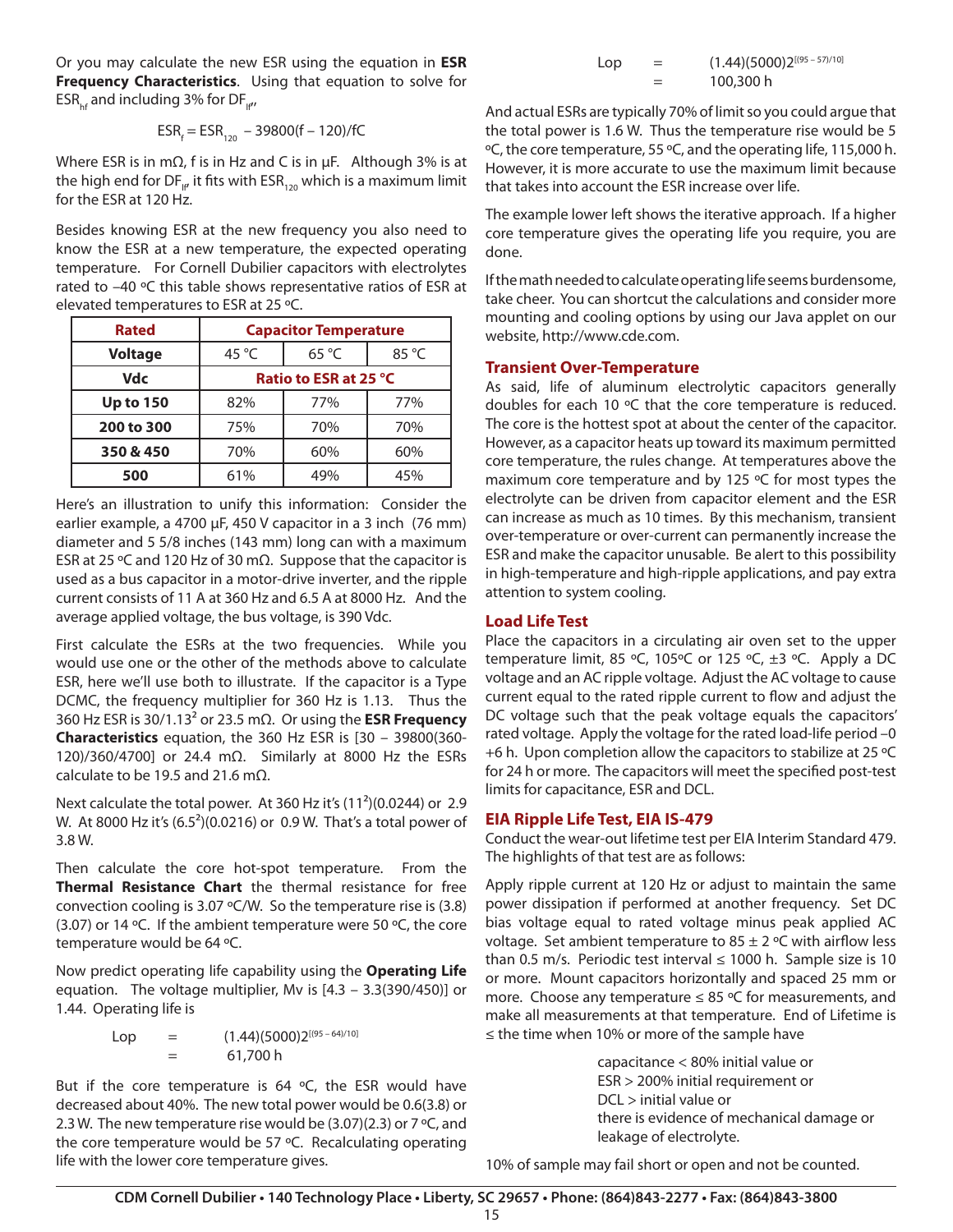Or you may calculate the new ESR using the equation in **ESR Frequency Characteristics**. Using that equation to solve for  $ESR_{hf}$  and including 3% for DF<sub>IP</sub>,

$$
ESR_f = ESR_{120} - 39800(f - 120)/fC
$$

Where ESR is in mΩ, f is in Hz and C is in µF. Although 3% is at the high end for DF $_{\text{lf}}$ , it fits with ESR<sub>120</sub> which is a maximum limit for the ESR at 120 Hz.

Besides knowing ESR at the new frequency you also need to know the ESR at a new temperature, the expected operating temperature. For Cornell Dubilier capacitors with electrolytes rated to –40 ºC this table shows representative ratios of ESR at elevated temperatures to ESR at 25 ºC.

| <b>Rated</b>     | <b>Capacitor Temperature</b> |                |                |  |  |  |  |  |
|------------------|------------------------------|----------------|----------------|--|--|--|--|--|
| <b>Voltage</b>   | 45 $^{\circ}$ C              | $65^{\circ}$ C | $85^{\circ}$ C |  |  |  |  |  |
| <b>Vdc</b>       | Ratio to ESR at 25 °C        |                |                |  |  |  |  |  |
| <b>Up to 150</b> | 82%                          | 77%            | 77%            |  |  |  |  |  |
| 200 to 300       | 75%                          | 70%            | 70%            |  |  |  |  |  |
| 350 & 450        | 70%                          | 60%            | 60%            |  |  |  |  |  |
| 500              | 61%                          | 49%            | 45%            |  |  |  |  |  |

Here's an illustration to unify this information: Consider the earlier example, a 4700 µF, 450 V capacitor in a 3 inch (76 mm) diameter and 5 5/8 inches (143 mm) long can with a maximum ESR at 25 ºC and 120 Hz of 30 mΩ. Suppose that the capacitor is used as a bus capacitor in a motor-drive inverter, and the ripple current consists of 11 A at 360 Hz and 6.5 A at 8000 Hz. And the average applied voltage, the bus voltage, is 390 Vdc.

First calculate the ESRs at the two frequencies. While you would use one or the other of the methods above to calculate ESR, here we'll use both to illustrate. If the capacitor is a Type DCMC, the frequency multiplier for 360 Hz is 1.13. Thus the 360 Hz ESR is 30/1.13² or 23.5 mΩ. Or using the **ESR Frequency Characteristics** equation, the 360 Hz ESR is [30 – 39800(360- 120)/360/4700] or 24.4 mΩ. Similarly at 8000 Hz the ESRs calculate to be 19.5 and 21.6 m $\Omega$ .

Next calculate the total power. At 360 Hz it's (11²)(0.0244) or 2.9 W. At 8000 Hz it's (6.5²)(0.0216) or 0.9 W. That's a total power of 3.8 W.

Then calculate the core hot-spot temperature. From the **Thermal Resistance Chart** the thermal resistance for free convection cooling is 3.07 ºC/W. So the temperature rise is (3.8) (3.07) or 14 ºC. If the ambient temperature were 50 ºC, the core temperature would be 64 ºC.

Now predict operating life capability using the **Operating Life** equation. The voltage multiplier, Mv is [4.3 – 3.3(390/450)] or 1.44. Operating life is

$$
Lop = (1.44)(5000)2^{[(95-64)/10]}
$$
  
= 61,700 h

But if the core temperature is 64  $\degree$ C, the ESR would have decreased about 40%. The new total power would be 0.6(3.8) or 2.3 W. The new temperature rise would be  $(3.07)(2.3)$  or 7 °C, and the core temperature would be 57 ºC. Recalculating operating life with the lower core temperature gives.

| Lop | $(1.44)(5000)2^{[(95-57)/10]}$ |
|-----|--------------------------------|
|     | 100,300 h                      |

And actual ESRs are typically 70% of limit so you could argue that the total power is 1.6 W. Thus the temperature rise would be 5 ºC, the core temperature, 55 ºC, and the operating life, 115,000 h. However, it is more accurate to use the maximum limit because that takes into account the ESR increase over life.

The example lower left shows the iterative approach. If a higher core temperature gives the operating life you require, you are done.

If the math needed to calculate operating life seems burdensome, take cheer. You can shortcut the calculations and consider more mounting and cooling options by using our Java applet on our website, http://www.cde.com.

### **Transient Over-Temperature**

As said, life of aluminum electrolytic capacitors generally doubles for each 10 ºC that the core temperature is reduced. The core is the hottest spot at about the center of the capacitor. However, as a capacitor heats up toward its maximum permitted core temperature, the rules change. At temperatures above the maximum core temperature and by 125 ºC for most types the electrolyte can be driven from capacitor element and the ESR can increase as much as 10 times. By this mechanism, transient over-temperature or over-current can permanently increase the ESR and make the capacitor unusable. Be alert to this possibility in high-temperature and high-ripple applications, and pay extra attention to system cooling.

# **Load Life Test**

Place the capacitors in a circulating air oven set to the upper temperature limit, 85 °C, 105°C or 125 °C,  $\pm$ 3 °C. Apply a DC voltage and an AC ripple voltage. Adjust the AC voltage to cause current equal to the rated ripple current to flow and adjust the DC voltage such that the peak voltage equals the capacitors' rated voltage. Apply the voltage for the rated load-life period –0 +6 h. Upon completion allow the capacitors to stabilize at 25 ºC for 24 h or more. The capacitors will meet the specified post-test limits for capacitance, ESR and DCL.

### **EIA Ripple Life Test, EIA IS-479**

Conduct the wear-out lifetime test per EIA Interim Standard 479. The highlights of that test are as follows:

Apply ripple current at 120 Hz or adjust to maintain the same power dissipation if performed at another frequency. Set DC bias voltage equal to rated voltage minus peak applied AC voltage. Set ambient temperature to  $85 \pm 2$  °C with airflow less than 0.5 m/s. Periodic test interval  $\leq$  1000 h. Sample size is 10 or more. Mount capacitors horizontally and spaced 25 mm or more. Choose any temperature  $\leq 85$  °C for measurements, and make all measurements at that temperature. End of Lifetime is ≤ the time when 10% or more of the sample have

> capacitance < 80% initial value or ESR > 200% initial requirement or DCL > initial value or there is evidence of mechanical damage or leakage of electrolyte.

10% of sample may fail short or open and not be counted.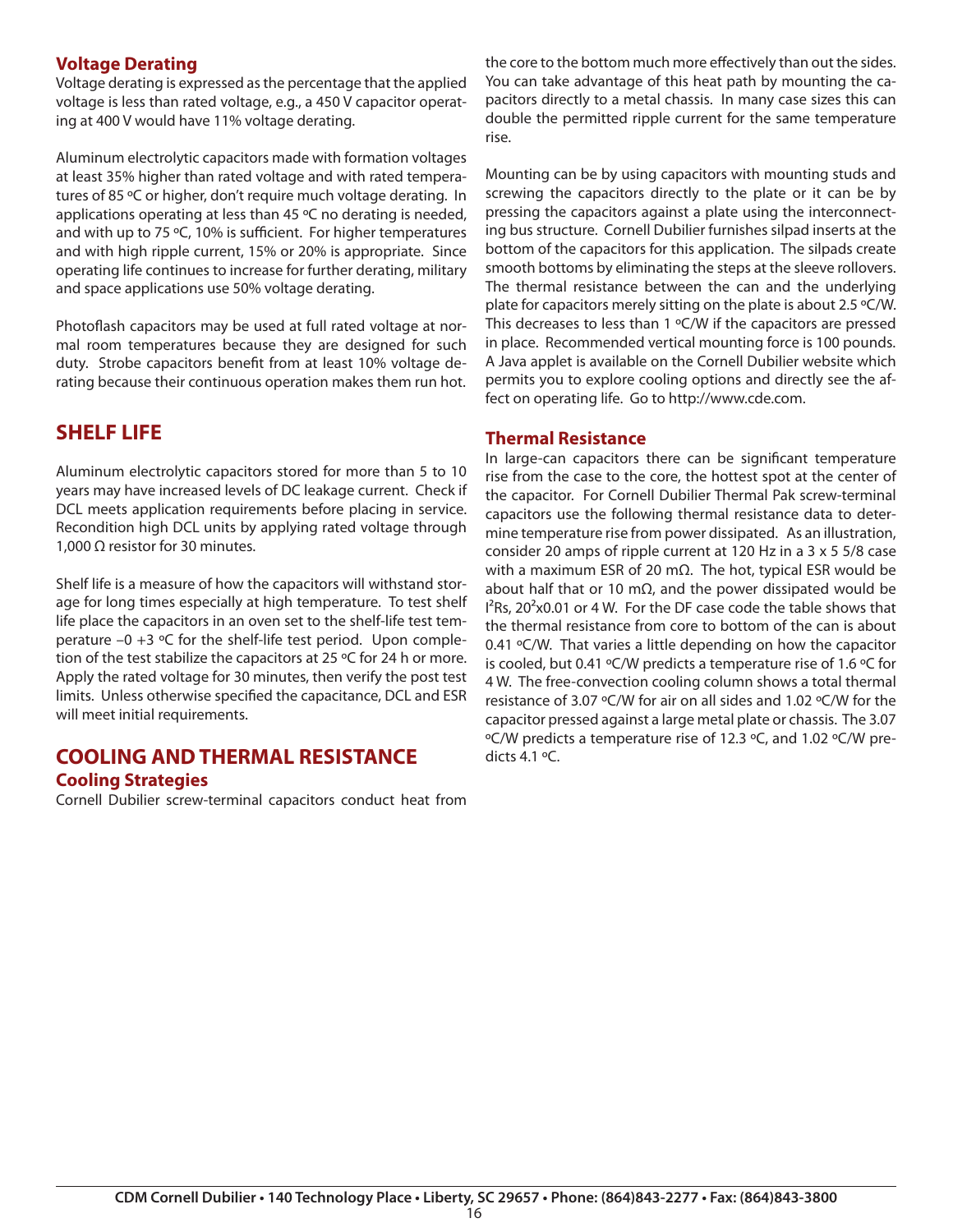# **Voltage Derating**

Voltage derating is expressed as the percentage that the applied voltage is less than rated voltage, e.g., a 450 V capacitor operating at 400 V would have 11% voltage derating.

Aluminum electrolytic capacitors made with formation voltages at least 35% higher than rated voltage and with rated temperatures of 85 ºC or higher, don't require much voltage derating. In applications operating at less than 45 °C no derating is needed, and with up to 75 °C, 10% is sufficient. For higher temperatures and with high ripple current, 15% or 20% is appropriate. Since operating life continues to increase for further derating, military and space applications use 50% voltage derating.

Photoflash capacitors may be used at full rated voltage at normal room temperatures because they are designed for such duty. Strobe capacitors benefit from at least 10% voltage derating because their continuous operation makes them run hot.

# **SHELF LIFE**

Aluminum electrolytic capacitors stored for more than 5 to 10 years may have increased levels of DC leakage current. Check if DCL meets application requirements before placing in service. Recondition high DCL units by applying rated voltage through 1,000  $\Omega$  resistor for 30 minutes.

Shelf life is a measure of how the capacitors will withstand storage for long times especially at high temperature. To test shelf life place the capacitors in an oven set to the shelf-life test temperature  $-0 +3 \text{ }^{\circ}\text{C}$  for the shelf-life test period. Upon completion of the test stabilize the capacitors at 25 ºC for 24 h or more. Apply the rated voltage for 30 minutes, then verify the post test limits. Unless otherwise specified the capacitance, DCL and ESR will meet initial requirements.

# **COOLING AND THERMAL RESISTANCE Cooling Strategies**

Cornell Dubilier screw-terminal capacitors conduct heat from

the core to the bottom much more effectively than out the sides. You can take advantage of this heat path by mounting the capacitors directly to a metal chassis. In many case sizes this can double the permitted ripple current for the same temperature rise.

Mounting can be by using capacitors with mounting studs and screwing the capacitors directly to the plate or it can be by pressing the capacitors against a plate using the interconnecting bus structure. Cornell Dubilier furnishes silpad inserts at the bottom of the capacitors for this application. The silpads create smooth bottoms by eliminating the steps at the sleeve rollovers. The thermal resistance between the can and the underlying plate for capacitors merely sitting on the plate is about 2.5 ºC/W. This decreases to less than 1 °C/W if the capacitors are pressed in place. Recommended vertical mounting force is 100 pounds. A Java applet is available on the Cornell Dubilier website which permits you to explore cooling options and directly see the affect on operating life. Go to http://www.cde.com.

# **Thermal Resistance**

In large-can capacitors there can be significant temperature rise from the case to the core, the hottest spot at the center of the capacitor. For Cornell Dubilier Thermal Pak screw-terminal capacitors use the following thermal resistance data to determine temperature rise from power dissipated. As an illustration, consider 20 amps of ripple current at 120 Hz in a 3 x 5 5/8 case with a maximum ESR of 20 mΩ. The hot, typical ESR would be about half that or 10 m $\Omega$ , and the power dissipated would be  $I^{2}$ Rs, 20<sup>2</sup>x0.01 or 4 W. For the DF case code the table shows that the thermal resistance from core to bottom of the can is about 0.41 ºC/W. That varies a little depending on how the capacitor is cooled, but 0.41 ºC/W predicts a temperature rise of 1.6 ºC for 4 W. The free-convection cooling column shows a total thermal resistance of 3.07 ºC/W for air on all sides and 1.02 ºC/W for the capacitor pressed against a large metal plate or chassis. The 3.07 ºC/W predicts a temperature rise of 12.3 ºC, and 1.02 ºC/W predicts  $4.1 \, \textdegree$ C.

16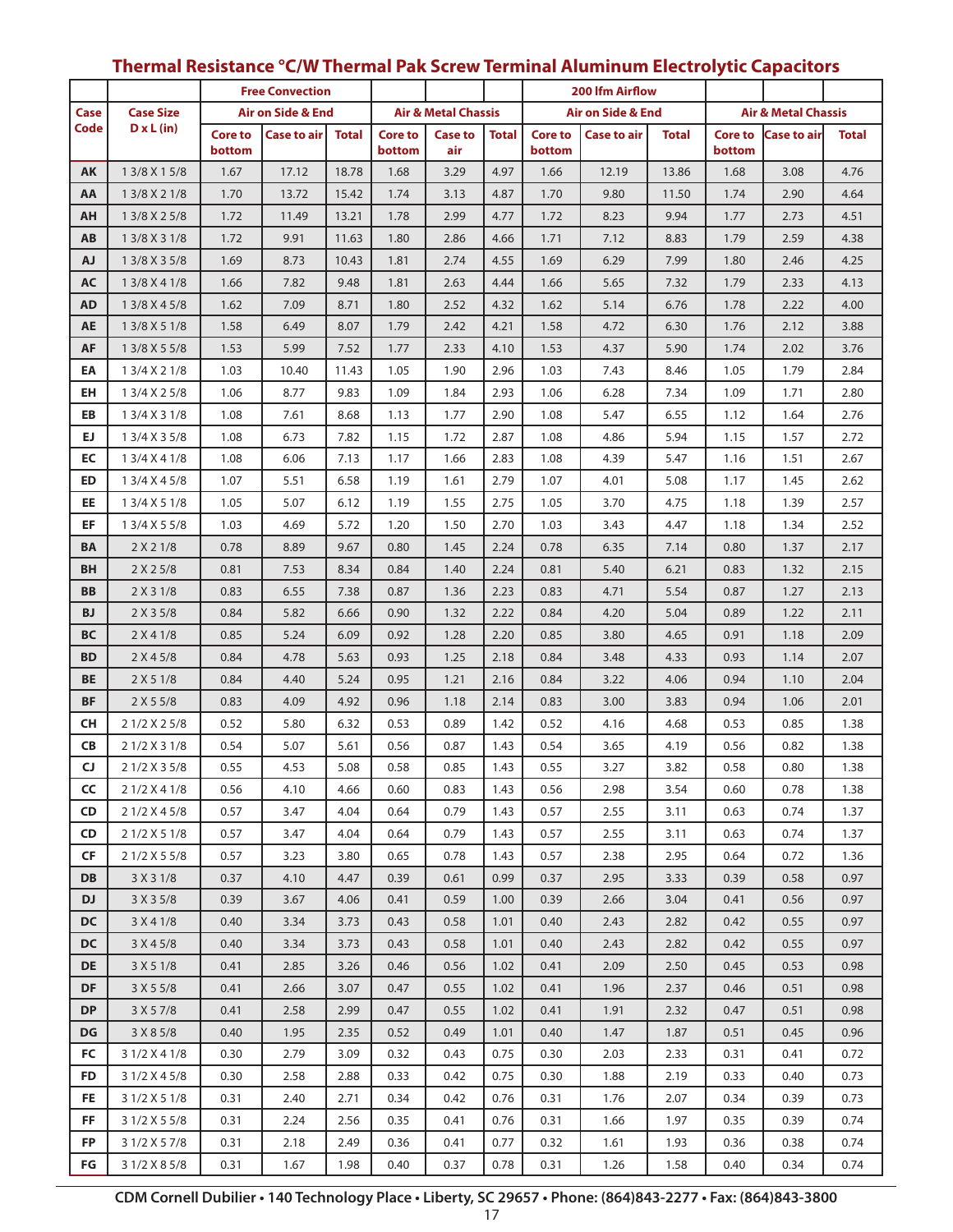|           |                        |                          | <b>Free Convection</b> |              |                          |                                |              |                              | 200 Ifm Airflow    |              |                                |                    |              |
|-----------|------------------------|--------------------------|------------------------|--------------|--------------------------|--------------------------------|--------------|------------------------------|--------------------|--------------|--------------------------------|--------------------|--------------|
| Case      | <b>Case Size</b>       |                          | Air on Side & End      |              |                          | <b>Air &amp; Metal Chassis</b> |              | <b>Air on Side &amp; End</b> |                    |              | <b>Air &amp; Metal Chassis</b> |                    |              |
| Code      | $D \times L$ (in)      | <b>Core to</b><br>bottom | Case to air            | <b>Total</b> | <b>Core to</b><br>bottom | <b>Case to</b><br>air          | <b>Total</b> | <b>Core to</b><br>bottom     | <b>Case to air</b> | <b>Total</b> | <b>Core to</b><br>bottom       | <b>Case to air</b> | <b>Total</b> |
| AK        | 1 3/8 X 1 5/8          | 1.67                     | 17.12                  | 18.78        | 1.68                     | 3.29                           | 4.97         | 1.66                         | 12.19              | 13.86        | 1.68                           | 3.08               | 4.76         |
| AA        | 1 3/8 X 2 1/8          | 1.70                     | 13.72                  | 15.42        | 1.74                     | 3.13                           | 4.87         | 1.70                         | 9.80               | 11.50        | 1.74                           | 2.90               | 4.64         |
| AH        | 13/8 X 25/8            | 1.72                     | 11.49                  | 13.21        | 1.78                     | 2.99                           | 4.77         | 1.72                         | 8.23               | 9.94         | 1.77                           | 2.73               | 4.51         |
| AB        | 1 3/8 X 3 1/8          | 1.72                     | 9.91                   | 11.63        | 1.80                     | 2.86                           | 4.66         | 1.71                         | 7.12               | 8.83         | 1.79                           | 2.59               | 4.38         |
| <b>AJ</b> | 1 3/8 X 3 5/8          | 1.69                     | 8.73                   | 10.43        | 1.81                     | 2.74                           | 4.55         | 1.69                         | 6.29               | 7.99         | 1.80                           | 2.46               | 4.25         |
| AC        | 1 3/8 X 4 1/8          | 1.66                     | 7.82                   | 9.48         | 1.81                     | 2.63                           | 4.44         | 1.66                         | 5.65               | 7.32         | 1.79                           | 2.33               | 4.13         |
| <b>AD</b> | 1 3/8 X 4 5/8          | 1.62                     | 7.09                   | 8.71         | 1.80                     | 2.52                           | 4.32         | 1.62                         | 5.14               | 6.76         | 1.78                           | 2.22               | 4.00         |
| AE        | 1 3/8 X 5 1/8          | 1.58                     | 6.49                   | 8.07         | 1.79                     | 2.42                           | 4.21         | 1.58                         | 4.72               | 6.30         | 1.76                           | 2.12               | 3.88         |
| AF        | 1 3/8 X 5 5/8          | 1.53                     | 5.99                   | 7.52         | 1.77                     | 2.33                           | 4.10         | 1.53                         | 4.37               | 5.90         | 1.74                           | 2.02               | 3.76         |
| ΕA        | 1 3/4 X 2 1/8          | 1.03                     | 10.40                  | 11.43        | 1.05                     | 1.90                           | 2.96         | 1.03                         | 7.43               | 8.46         | 1.05                           | 1.79               | 2.84         |
| EH        | 1 3/4 X 2 5/8          | 1.06                     | 8.77                   | 9.83         | 1.09                     | 1.84                           | 2.93         | 1.06                         | 6.28               | 7.34         | 1.09                           | 1.71               | 2.80         |
| EB        | 1 3/4 X 3 1/8          | 1.08                     | 7.61                   | 8.68         | 1.13                     | 1.77                           | 2.90         | 1.08                         | 5.47               | 6.55         | 1.12                           | 1.64               | 2.76         |
| EJ.       | 1 3/4 X 3 5/8          | 1.08                     | 6.73                   | 7.82         | 1.15                     | 1.72                           | 2.87         | 1.08                         | 4.86               | 5.94         | 1.15                           | 1.57               | 2.72         |
| EC        | 1 3/4 X 4 1/8          | 1.08                     | 6.06                   | 7.13         | 1.17                     | 1.66                           | 2.83         | 1.08                         | 4.39               | 5.47         | 1.16                           | 1.51               | 2.67         |
| ED        | 1 3/4 X 4 5/8          | 1.07                     | 5.51                   | 6.58         | 1.19                     | 1.61                           | 2.79         | 1.07                         | 4.01               | 5.08         | 1.17                           | 1.45               | 2.62         |
| EE        | 1 3/4 X 5 1/8          | 1.05                     | 5.07                   | 6.12         | 1.19                     | 1.55                           | 2.75         | 1.05                         | 3.70               | 4.75         | 1.18                           | 1.39               | 2.57         |
| EF        | 1 3/4 X 5 5/8          | 1.03                     | 4.69                   | 5.72         | 1.20                     | 1.50                           | 2.70         | 1.03                         | 3.43               | 4.47         | 1.18                           | 1.34               | 2.52         |
| ΒA        | 2 X 2 1/8              | 0.78                     | 8.89                   | 9.67         | 0.80                     | 1.45                           | 2.24         | 0.78                         | 6.35               | 7.14         | 0.80                           | 1.37               | 2.17         |
| BH        | 2 X 2 5/8              | 0.81                     | 7.53                   | 8.34         | 0.84                     | 1.40                           | 2.24         | 0.81                         | 5.40               | 6.21         | 0.83                           | 1.32               | 2.15         |
| BB        | 2 X 3 1/8              | 0.83                     | 6.55                   | 7.38         | 0.87                     | 1.36                           | 2.23         | 0.83                         | 4.71               | 5.54         | 0.87                           | 1.27               | 2.13         |
| <b>BJ</b> | 2 X 3 5/8              | 0.84                     | 5.82                   | 6.66         | 0.90                     | 1.32                           | 2.22         | 0.84                         | 4.20               | 5.04         | 0.89                           | 1.22               | 2.11         |
| ВC        | 2 X 4 1/8              | 0.85                     | 5.24                   | 6.09         | 0.92                     | 1.28                           | 2.20         | 0.85                         | 3.80               | 4.65         | 0.91                           | 1.18               | 2.09         |
| <b>BD</b> | 2 X 4 5/8              | 0.84                     | 4.78                   | 5.63         | 0.93                     | 1.25                           | 2.18         | 0.84                         | 3.48               | 4.33         | 0.93                           | 1.14               | 2.07         |
| BE        | 2 X 5 1/8              | 0.84                     | 4.40                   | 5.24         | 0.95                     | 1.21                           | 2.16         | 0.84                         | 3.22               | 4.06         | 0.94                           | 1.10               | 2.04         |
| <b>BF</b> | 2 X 5 5/8              | 0.83                     | 4.09                   | 4.92         | 0.96                     | 1.18                           | 2.14         | 0.83                         | 3.00               | 3.83         | 0.94                           | 1.06               | 2.01         |
| CН        | 2 1/2 X 2 5/8          | 0.52                     | 5.80                   | 6.32         | 0.53                     | 0.89                           | 1.42         | 0.52                         | 4.16               | 4.68         | 0.53                           | 0.85               | 1.38         |
| CB        | 2 1/2 X 3 1/8          | 0.54                     | 5.07                   | 5.61         | 0.56                     | 0.87                           | 1.43         | 0.54                         | 3.65               | 4.19         | 0.56                           | 0.82               | 1.38         |
| CJ        | 2 1/2 X 3 5/8          | 0.55                     | 4.53                   | 5.08         | 0.58                     | 0.85                           | 1.43         | 0.55                         | 3.27               | 3.82         | 0.58                           | 0.80               | 1.38         |
| CC        | 2 1/2 X 4 1/8          | 0.56                     | 4.10                   | 4.66         | 0.60                     | 0.83                           | 1.43         | 0.56                         | 2.98               | 3.54         | 0.60                           | 0.78               | 1.38         |
| CD        | 2 1/2 X 4 5/8          | 0.57                     | 3.47                   | 4.04         | 0.64                     | 0.79                           | 1.43         | 0.57                         | 2.55               | 3.11         | 0.63                           | 0.74               | 1.37         |
| CD        | 2 1/2 X 5 1/8          | 0.57                     | 3.47                   | 4.04         | 0.64                     | 0.79                           | 1.43         | 0.57                         | 2.55               | 3.11         | 0.63                           | 0.74               | 1.37         |
| CF        | 2 1/2 X 5 5/8          | 0.57                     | 3.23                   | 3.80         | 0.65                     | 0.78                           | 1.43         | 0.57                         | 2.38               | 2.95         | 0.64                           | 0.72               | 1.36         |
| DB        | 3 X 3 1/8              | 0.37                     | 4.10                   | 4.47         | 0.39                     | 0.61                           | 0.99         | 0.37                         | 2.95               | 3.33         | 0.39                           | 0.58               | 0.97         |
| <b>DJ</b> | 3 X 3 5/8              | 0.39                     | 3.67                   | 4.06         | 0.41                     | 0.59                           | 1.00         | 0.39                         | 2.66               | 3.04         | 0.41                           | 0.56               | 0.97         |
| <b>DC</b> | 3 X 4 1/8              | 0.40                     | 3.34                   | 3.73         | 0.43                     | 0.58                           | 1.01         | 0.40                         | 2.43               | 2.82         | 0.42                           | 0.55               | 0.97         |
| DC        | 3 X 4 5/8              | 0.40                     | 3.34                   | 3.73         | 0.43                     | 0.58                           | 1.01         | 0.40                         | 2.43               | 2.82         | 0.42                           | 0.55               | 0.97         |
| DE<br>DF  | 3 X 5 1/8              | 0.41                     | 2.85                   | 3.26<br>3.07 | 0.46<br>0.47             | 0.56<br>0.55                   | 1.02         | 0.41                         | 2.09               | 2.50         | 0.45                           | 0.53               | 0.98<br>0.98 |
| <b>DP</b> | 3 X 5 5/8<br>3 X 5 7/8 | 0.41<br>0.41             | 2.66<br>2.58           | 2.99         | 0.47                     | 0.55                           | 1.02<br>1.02 | 0.41<br>0.41                 | 1.96               | 2.37<br>2.32 | 0.46<br>0.47                   | 0.51<br>0.51       | 0.98         |
| DG        | 3 X 8 5/8              | 0.40                     | 1.95                   | 2.35         | 0.52                     | 0.49                           | 1.01         | 0.40                         | 1.91<br>1.47       | 1.87         | 0.51                           | 0.45               | 0.96         |
| FC        | 3 1/2 X 4 1/8          | 0.30                     | 2.79                   | 3.09         | 0.32                     | 0.43                           | 0.75         | 0.30                         | 2.03               | 2.33         | 0.31                           | 0.41               | 0.72         |
| FD        | 3 1/2 X 4 5/8          | 0.30                     | 2.58                   | 2.88         | 0.33                     | 0.42                           | 0.75         | 0.30                         | 1.88               | 2.19         | 0.33                           | 0.40               | 0.73         |
| FE.       | 3 1/2 X 5 1/8          | 0.31                     | 2.40                   | 2.71         | 0.34                     | 0.42                           | 0.76         | 0.31                         | 1.76               | 2.07         | 0.34                           | 0.39               | 0.73         |
| FF        | 3 1/2 X 5 5/8          | 0.31                     | 2.24                   | 2.56         | 0.35                     | 0.41                           | 0.76         | 0.31                         | 1.66               | 1.97         | 0.35                           | 0.39               | 0.74         |
| FP        | 3 1/2 X 5 7/8          | 0.31                     | 2.18                   | 2.49         | 0.36                     | 0.41                           | 0.77         | 0.32                         | 1.61               | 1.93         | 0.36                           | 0.38               | 0.74         |
| FG        | 3 1/2 X 8 5/8          | 0.31                     | 1.67                   | 1.98         | 0.40                     | 0.37                           | 0.78         | 0.31                         | 1.26               | 1.58         | 0.40                           | 0.34               | 0.74         |

# **Thermal Resistance °C/W Thermal Pak Screw Terminal Aluminum Electrolytic Capacitors**

**CDM Cornell Dubilier • 140 Technology Place • Liberty, SC 29657 • Phone: (864)843-2277 • Fax: (864)843-3800**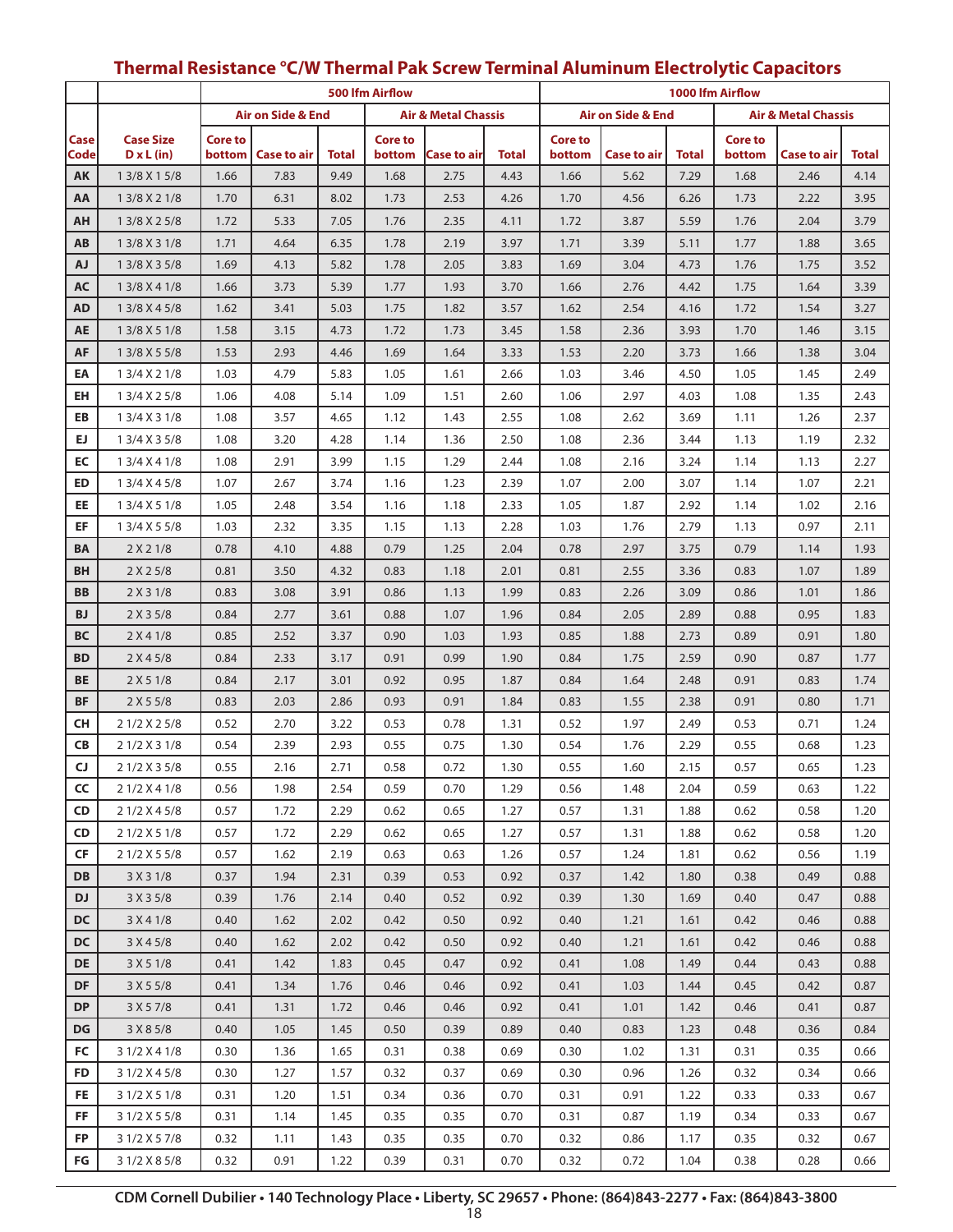|              |                   | 500 Ifm Airflow |                    |              |                |                                |       | 1000 Ifm Airflow |                              |       |                |                                |              |  |
|--------------|-------------------|-----------------|--------------------|--------------|----------------|--------------------------------|-------|------------------|------------------------------|-------|----------------|--------------------------------|--------------|--|
|              |                   |                 | Air on Side & End  |              |                | <b>Air &amp; Metal Chassis</b> |       |                  | <b>Air on Side &amp; End</b> |       |                | <b>Air &amp; Metal Chassis</b> |              |  |
| Case         | <b>Case Size</b>  | <b>Core to</b>  |                    |              | <b>Core to</b> |                                |       | <b>Core to</b>   |                              |       | <b>Core to</b> |                                |              |  |
| Code         | $D \times L$ (in) | bottom          | <b>Case to air</b> | <b>Total</b> | bottom         | Case to air                    | Total | bottom           | <b>Case to air</b>           | Total | bottom         | Case to air                    | <b>Total</b> |  |
| AK           | 1 3/8 X 1 5/8     | 1.66            | 7.83               | 9.49         | 1.68           | 2.75                           | 4.43  | 1.66             | 5.62                         | 7.29  | 1.68           | 2.46                           | 4.14         |  |
| AA           | 1 3/8 X 2 1/8     | 1.70            | 6.31               | 8.02         | 1.73           | 2.53                           | 4.26  | 1.70             | 4.56                         | 6.26  | 1.73           | 2.22                           | 3.95         |  |
| AH           | 1 3/8 X 2 5/8     | 1.72            | 5.33               | 7.05         | 1.76           | 2.35                           | 4.11  | 1.72             | 3.87                         | 5.59  | 1.76           | 2.04                           | 3.79         |  |
| AB           | 1 3/8 X 3 1/8     | 1.71            | 4.64               | 6.35         | 1.78           | 2.19                           | 3.97  | 1.71             | 3.39                         | 5.11  | 1.77           | 1.88                           | 3.65         |  |
| <b>AJ</b>    | 1 3/8 X 3 5/8     | 1.69            | 4.13               | 5.82         | 1.78           | 2.05                           | 3.83  | 1.69             | 3.04                         | 4.73  | 1.76           | 1.75                           | 3.52         |  |
| <b>AC</b>    | 1 3/8 X 4 1/8     | 1.66            | 3.73               | 5.39         | 1.77           | 1.93                           | 3.70  | 1.66             | 2.76                         | 4.42  | 1.75           | 1.64                           | 3.39         |  |
| <b>AD</b>    | 1 3/8 X 4 5/8     | 1.62            | 3.41               | 5.03         | 1.75           | 1.82                           | 3.57  | 1.62             | 2.54                         | 4.16  | 1.72           | 1.54                           | 3.27         |  |
| <b>AE</b>    | 1 3/8 X 5 1/8     | 1.58            | 3.15               | 4.73         | 1.72           | 1.73                           | 3.45  | 1.58             | 2.36                         | 3.93  | 1.70           | 1.46                           | 3.15         |  |
| AF           | 1 3/8 X 5 5/8     | 1.53            | 2.93               | 4.46         | 1.69           | 1.64                           | 3.33  | 1.53             | 2.20                         | 3.73  | 1.66           | 1.38                           | 3.04         |  |
| EA           | 1 3/4 X 2 1/8     | 1.03            | 4.79               | 5.83         | 1.05           | 1.61                           | 2.66  | 1.03             | 3.46                         | 4.50  | 1.05           | 1.45                           | 2.49         |  |
| EH           | 1 3/4 X 2 5/8     | 1.06            | 4.08               | 5.14         | 1.09           | 1.51                           | 2.60  | 1.06             | 2.97                         | 4.03  | 1.08           | 1.35                           | 2.43         |  |
| EB           | 1 3/4 X 3 1/8     | 1.08            | 3.57               | 4.65         | 1.12           | 1.43                           | 2.55  | 1.08             | 2.62                         | 3.69  | 1.11           | 1.26                           | 2.37         |  |
| EJ.          | 1 3/4 X 3 5/8     | 1.08            | 3.20               | 4.28         | 1.14           | 1.36                           | 2.50  | 1.08             | 2.36                         | 3.44  | 1.13           | 1.19                           | 2.32         |  |
| EC           | 1 3/4 X 4 1/8     | 1.08            | 2.91               | 3.99         | 1.15           | 1.29                           | 2.44  | 1.08             | 2.16                         | 3.24  | 1.14           | 1.13                           | 2.27         |  |
| ED           | 1 3/4 X 4 5/8     | 1.07            | 2.67               | 3.74         | 1.16           | 1.23                           | 2.39  | 1.07             | 2.00                         | 3.07  | 1.14           | 1.07                           | 2.21         |  |
| EE           | 1 3/4 X 5 1/8     | 1.05            | 2.48               | 3.54         | 1.16           | 1.18                           | 2.33  | 1.05             | 1.87                         | 2.92  | 1.14           | 1.02                           | 2.16         |  |
| EF           | 1 3/4 X 5 5/8     | 1.03            | 2.32               | 3.35         | 1.15           | 1.13                           | 2.28  | 1.03             | 1.76                         | 2.79  | 1.13           | 0.97                           | 2.11         |  |
| <b>BA</b>    | 2 X 2 1/8         | 0.78            | 4.10               | 4.88         | 0.79           | 1.25                           | 2.04  | 0.78             | 2.97                         | 3.75  | 0.79           | 1.14                           | 1.93         |  |
| <b>BH</b>    | 2 X 2 5/8         | 0.81            | 3.50               | 4.32         | 0.83           | 1.18                           | 2.01  | 0.81             | 2.55                         | 3.36  | 0.83           | 1.07                           | 1.89         |  |
| <b>BB</b>    | 2 X 3 1/8         | 0.83            | 3.08               | 3.91         | 0.86           | 1.13                           | 1.99  | 0.83             | 2.26                         | 3.09  | 0.86           | 1.01                           | 1.86         |  |
| <b>BJ</b>    | 2 X 3 5/8         | 0.84            | 2.77               | 3.61         | 0.88           | 1.07                           | 1.96  | 0.84             | 2.05                         | 2.89  | 0.88           | 0.95                           | 1.83         |  |
| <b>BC</b>    | 2 X 4 1/8         | 0.85            | 2.52               | 3.37         | 0.90           | 1.03                           | 1.93  | 0.85             | 1.88                         | 2.73  | 0.89           | 0.91                           | 1.80         |  |
| <b>BD</b>    | 2 X 4 5/8         | 0.84            | 2.33               | 3.17         | 0.91           | 0.99                           | 1.90  | 0.84             | 1.75                         | 2.59  | 0.90           | 0.87                           | 1.77         |  |
| BE           | 2 X 5 1/8         | 0.84            | 2.17               | 3.01         | 0.92           | 0.95                           | 1.87  | 0.84             | 1.64                         | 2.48  | 0.91           | 0.83                           | 1.74         |  |
| <b>BF</b>    | 2 X 5 5/8         | 0.83            | 2.03               | 2.86         | 0.93           | 0.91                           | 1.84  | 0.83             | 1.55                         | 2.38  | 0.91           | 0.80                           | 1.71         |  |
| <b>CH</b>    | 2 1/2 X 2 5/8     | 0.52            | 2.70               | 3.22         | 0.53           | 0.78                           | 1.31  | 0.52             | 1.97                         | 2.49  | 0.53           | 0.71                           | 1.24         |  |
| CB           | 2 1/2 X 3 1/8     | 0.54            | 2.39               | 2.93         | 0.55           | 0.75                           | 1.30  | 0.54             | 1.76                         | 2.29  | 0.55           | 0.68                           | 1.23         |  |
| $\mathsf{C}$ | 2 1/2 X 3 5/8     | 0.55            | 2.16               | 2.71         | 0.58           | 0.72                           | 1.30  | 0.55             | 1.60                         | 2.15  | 0.57           | 0.65                           | 1.23         |  |
| CC           | 2 1/2 X 4 1/8     | 0.56            | 1.98               | 2.54         | 0.59           | 0.70                           | 1.29  | 0.56             | 1.48                         | 2.04  | 0.59           | 0.63                           | 1.22         |  |
| CD           | 2 1/2 X 4 5/8     | 0.57            | 1.72               | 2.29         | 0.62           | 0.65                           | 1.27  | 0.57             | 1.31                         | 1.88  | 0.62           | 0.58                           | 1.20         |  |
| <b>CD</b>    | 2 1/2 X 5 1/8     | 0.57            | 1.72               | 2.29         | 0.62           | 0.65                           | 1.27  | 0.57             | 1.31                         | 1.88  | 0.62           | 0.58                           | 1.20         |  |
| CF           | 2 1/2 X 5 5/8     | 0.57            | 1.62               | 2.19         | 0.63           | 0.63                           | 1.26  | 0.57             | 1.24                         | 1.81  | 0.62           | 0.56                           | 1.19         |  |
| <b>DB</b>    | 3 X 3 1/8         | 0.37            | 1.94               | 2.31         | 0.39           | 0.53                           | 0.92  | 0.37             | 1.42                         | 1.80  | 0.38           | 0.49                           | 0.88         |  |
| <b>DJ</b>    | 3 X 3 5/8         | 0.39            | 1.76               | 2.14         | 0.40           | 0.52                           | 0.92  | 0.39             | 1.30                         | 1.69  | 0.40           | 0.47                           | 0.88         |  |
| <b>DC</b>    | 3 X 4 1/8         | 0.40            | 1.62               | 2.02         | 0.42           | 0.50                           | 0.92  | 0.40             | 1.21                         | 1.61  | 0.42           | 0.46                           | 0.88         |  |
| <b>DC</b>    | 3 X 4 5/8         | 0.40            | 1.62               | 2.02         | 0.42           | 0.50                           | 0.92  | 0.40             | 1.21                         | 1.61  | 0.42           | 0.46                           | 0.88         |  |
| <b>DE</b>    | 3 X 5 1/8         | 0.41            | 1.42               | 1.83         | 0.45           | 0.47                           | 0.92  | 0.41             | 1.08                         | 1.49  | 0.44           | 0.43                           | 0.88         |  |
| DF           | 3 X 5 5/8         | 0.41            | 1.34               | 1.76         | 0.46           | 0.46                           | 0.92  | 0.41             | 1.03                         | 1.44  | 0.45           | 0.42                           | 0.87         |  |
| <b>DP</b>    | 3 X 5 7/8         | 0.41            | 1.31               | 1.72         | 0.46           | 0.46                           | 0.92  | 0.41             | 1.01                         | 1.42  | 0.46           | 0.41                           | 0.87         |  |
| DG           | 3 X 8 5/8         | 0.40            | 1.05               | 1.45         | 0.50           | 0.39                           | 0.89  | 0.40             | 0.83                         | 1.23  | 0.48           | 0.36                           | 0.84         |  |
| FC           | 3 1/2 X 4 1/8     | 0.30            | 1.36               | 1.65         | 0.31           | 0.38                           | 0.69  | 0.30             | 1.02                         | 1.31  | 0.31           | 0.35                           | 0.66         |  |
| <b>FD</b>    | 3 1/2 X 4 5/8     | 0.30            | 1.27               | 1.57         | 0.32           | 0.37                           | 0.69  | 0.30             | 0.96                         | 1.26  | 0.32           | 0.34                           | 0.66         |  |
| FE.          | 3 1/2 X 5 1/8     | 0.31            | 1.20               | 1.51         | 0.34           | 0.36                           | 0.70  | 0.31             | 0.91                         | 1.22  | 0.33           | 0.33                           | 0.67         |  |
| FF           | 3 1/2 X 5 5/8     | 0.31            | 1.14               | 1.45         | 0.35           | 0.35                           | 0.70  | 0.31             | 0.87                         | 1.19  | 0.34           | 0.33                           | 0.67         |  |
| <b>FP</b>    | 3 1/2 X 5 7/8     | 0.32            | 1.11               | 1.43         | 0.35           | 0.35                           | 0.70  | 0.32             | 0.86                         | 1.17  | 0.35           | 0.32                           | 0.67         |  |
| FG           | 3 1/2 X 8 5/8     | 0.32            | 0.91               | 1.22         | 0.39           | 0.31                           | 0.70  | 0.32             | 0.72                         | 1.04  | 0.38           | 0.28                           | 0.66         |  |

# **Thermal Resistance °C/W Thermal Pak Screw Terminal Aluminum Electrolytic Capacitors**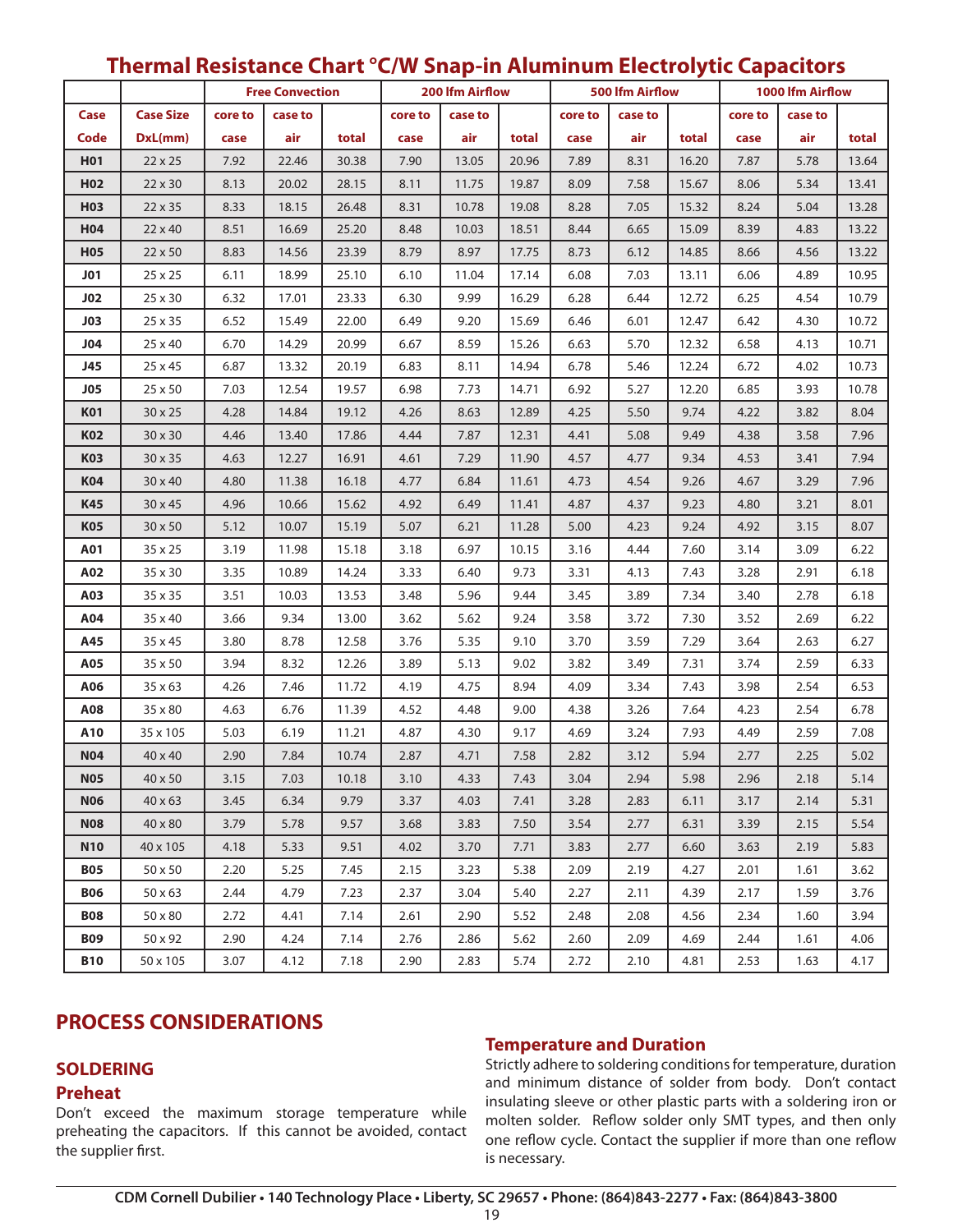|                 |                  |         | <b>Free Convection</b> |       |         |         | <b>200 Ifm Airflow</b> |         | 500 Ifm Airflow |       |         | 1000 lfm Airflow |       |  |
|-----------------|------------------|---------|------------------------|-------|---------|---------|------------------------|---------|-----------------|-------|---------|------------------|-------|--|
| Case            | <b>Case Size</b> | core to | case to                |       | core to | case to |                        | core to | case to         |       | core to | case to          |       |  |
| Code            | DxL(mm)          | case    | air                    | total | case    | air     | total                  | case    | air             | total | case    | air              | total |  |
| <b>H01</b>      | $22 \times 25$   | 7.92    | 22.46                  | 30.38 | 7.90    | 13.05   | 20.96                  | 7.89    | 8.31            | 16.20 | 7.87    | 5.78             | 13.64 |  |
| H <sub>02</sub> | 22 x 30          | 8.13    | 20.02                  | 28.15 | 8.11    | 11.75   | 19.87                  | 8.09    | 7.58            | 15.67 | 8.06    | 5.34             | 13.41 |  |
| H03             | 22 x 35          | 8.33    | 18.15                  | 26.48 | 8.31    | 10.78   | 19.08                  | 8.28    | 7.05            | 15.32 | 8.24    | 5.04             | 13.28 |  |
| H04             | 22 x 40          | 8.51    | 16.69                  | 25.20 | 8.48    | 10.03   | 18.51                  | 8.44    | 6.65            | 15.09 | 8.39    | 4.83             | 13.22 |  |
| <b>H05</b>      | $22 \times 50$   | 8.83    | 14.56                  | 23.39 | 8.79    | 8.97    | 17.75                  | 8.73    | 6.12            | 14.85 | 8.66    | 4.56             | 13.22 |  |
| J01             | 25 x 25          | 6.11    | 18.99                  | 25.10 | 6.10    | 11.04   | 17.14                  | 6.08    | 7.03            | 13.11 | 6.06    | 4.89             | 10.95 |  |
| J02             | 25 x 30          | 6.32    | 17.01                  | 23.33 | 6.30    | 9.99    | 16.29                  | 6.28    | 6.44            | 12.72 | 6.25    | 4.54             | 10.79 |  |
| JO3             | 25 x 35          | 6.52    | 15.49                  | 22.00 | 6.49    | 9.20    | 15.69                  | 6.46    | 6.01            | 12.47 | 6.42    | 4.30             | 10.72 |  |
| J04             | 25 x 40          | 6.70    | 14.29                  | 20.99 | 6.67    | 8.59    | 15.26                  | 6.63    | 5.70            | 12.32 | 6.58    | 4.13             | 10.71 |  |
| J45             | 25 x 45          | 6.87    | 13.32                  | 20.19 | 6.83    | 8.11    | 14.94                  | 6.78    | 5.46            | 12.24 | 6.72    | 4.02             | 10.73 |  |
| <b>J05</b>      | 25 x 50          | 7.03    | 12.54                  | 19.57 | 6.98    | 7.73    | 14.71                  | 6.92    | 5.27            | 12.20 | 6.85    | 3.93             | 10.78 |  |
| <b>K01</b>      | 30 x 25          | 4.28    | 14.84                  | 19.12 | 4.26    | 8.63    | 12.89                  | 4.25    | 5.50            | 9.74  | 4.22    | 3.82             | 8.04  |  |
| K02             | 30 x 30          | 4.46    | 13.40                  | 17.86 | 4.44    | 7.87    | 12.31                  | 4.41    | 5.08            | 9.49  | 4.38    | 3.58             | 7.96  |  |
| <b>K03</b>      | 30 x 35          | 4.63    | 12.27                  | 16.91 | 4.61    | 7.29    | 11.90                  | 4.57    | 4.77            | 9.34  | 4.53    | 3.41             | 7.94  |  |
| K04             | 30 x 40          | 4.80    | 11.38                  | 16.18 | 4.77    | 6.84    | 11.61                  | 4.73    | 4.54            | 9.26  | 4.67    | 3.29             | 7.96  |  |
| K45             | 30 x 45          | 4.96    | 10.66                  | 15.62 | 4.92    | 6.49    | 11.41                  | 4.87    | 4.37            | 9.23  | 4.80    | 3.21             | 8.01  |  |
| <b>K05</b>      | 30 x 50          | 5.12    | 10.07                  | 15.19 | 5.07    | 6.21    | 11.28                  | 5.00    | 4.23            | 9.24  | 4.92    | 3.15             | 8.07  |  |
| A01             | 35 x 25          | 3.19    | 11.98                  | 15.18 | 3.18    | 6.97    | 10.15                  | 3.16    | 4.44            | 7.60  | 3.14    | 3.09             | 6.22  |  |
| A02             | 35 x 30          | 3.35    | 10.89                  | 14.24 | 3.33    | 6.40    | 9.73                   | 3.31    | 4.13            | 7.43  | 3.28    | 2.91             | 6.18  |  |
| A03             | 35 x 35          | 3.51    | 10.03                  | 13.53 | 3.48    | 5.96    | 9.44                   | 3.45    | 3.89            | 7.34  | 3.40    | 2.78             | 6.18  |  |
| A04             | 35 x 40          | 3.66    | 9.34                   | 13.00 | 3.62    | 5.62    | 9.24                   | 3.58    | 3.72            | 7.30  | 3.52    | 2.69             | 6.22  |  |
| A45             | 35 x 45          | 3.80    | 8.78                   | 12.58 | 3.76    | 5.35    | 9.10                   | 3.70    | 3.59            | 7.29  | 3.64    | 2.63             | 6.27  |  |
| A05             | 35 x 50          | 3.94    | 8.32                   | 12.26 | 3.89    | 5.13    | 9.02                   | 3.82    | 3.49            | 7.31  | 3.74    | 2.59             | 6.33  |  |
| A06             | 35 x 63          | 4.26    | 7.46                   | 11.72 | 4.19    | 4.75    | 8.94                   | 4.09    | 3.34            | 7.43  | 3.98    | 2.54             | 6.53  |  |
| A08             | 35 x 80          | 4.63    | 6.76                   | 11.39 | 4.52    | 4.48    | 9.00                   | 4.38    | 3.26            | 7.64  | 4.23    | 2.54             | 6.78  |  |
| A10             | 35 x 105         | 5.03    | 6.19                   | 11.21 | 4.87    | 4.30    | 9.17                   | 4.69    | 3.24            | 7.93  | 4.49    | 2.59             | 7.08  |  |
| <b>N04</b>      | $40 \times 40$   | 2.90    | 7.84                   | 10.74 | 2.87    | 4.71    | 7.58                   | 2.82    | 3.12            | 5.94  | 2.77    | 2.25             | 5.02  |  |
| <b>N05</b>      | $40 \times 50$   | 3.15    | 7.03                   | 10.18 | 3.10    | 4.33    | 7.43                   | 3.04    | 2.94            | 5.98  | 2.96    | 2.18             | 5.14  |  |
| <b>N06</b>      | 40 x 63          | 3.45    | 6.34                   | 9.79  | 3.37    | 4.03    | 7.41                   | 3.28    | 2.83            | 6.11  | 3.17    | 2.14             | 5.31  |  |
| <b>N08</b>      | 40 x 80          | 3.79    | 5.78                   | 9.57  | 3.68    | 3.83    | 7.50                   | 3.54    | 2.77            | 6.31  | 3.39    | 2.15             | 5.54  |  |
| <b>N10</b>      | 40 x 105         | 4.18    | 5.33                   | 9.51  | 4.02    | 3.70    | 7.71                   | 3.83    | 2.77            | 6.60  | 3.63    | 2.19             | 5.83  |  |
| <b>B05</b>      | 50 x 50          | 2.20    | 5.25                   | 7.45  | 2.15    | 3.23    | 5.38                   | 2.09    | 2.19            | 4.27  | 2.01    | 1.61             | 3.62  |  |
| <b>B06</b>      | $50 \times 63$   | 2.44    | 4.79                   | 7.23  | 2.37    | 3.04    | 5.40                   | 2.27    | 2.11            | 4.39  | 2.17    | 1.59             | 3.76  |  |
| <b>B08</b>      | 50 x 80          | 2.72    | 4.41                   | 7.14  | 2.61    | 2.90    | 5.52                   | 2.48    | 2.08            | 4.56  | 2.34    | 1.60             | 3.94  |  |
| <b>B09</b>      | 50 x 92          | 2.90    | 4.24                   | 7.14  | 2.76    | 2.86    | 5.62                   | 2.60    | 2.09            | 4.69  | 2.44    | 1.61             | 4.06  |  |
| <b>B10</b>      | 50 x 105         | 3.07    | 4.12                   | 7.18  | 2.90    | 2.83    | 5.74                   | 2.72    | 2.10            | 4.81  | 2.53    | 1.63             | 4.17  |  |

# **Thermal Resistance Chart °C/W Snap-in Aluminum Electrolytic Capacitors**

# **PROCESS CONSIDERATIONS**

# **SOLDERING**

## **Preheat**

Don't exceed the maximum storage temperature while preheating the capacitors. If this cannot be avoided, contact the supplier first.

# **Temperature and Duration**

Strictly adhere to soldering conditions for temperature, duration and minimum distance of solder from body. Don't contact insulating sleeve or other plastic parts with a soldering iron or molten solder. Reflow solder only SMT types, and then only one reflow cycle. Contact the supplier if more than one reflow is necessary.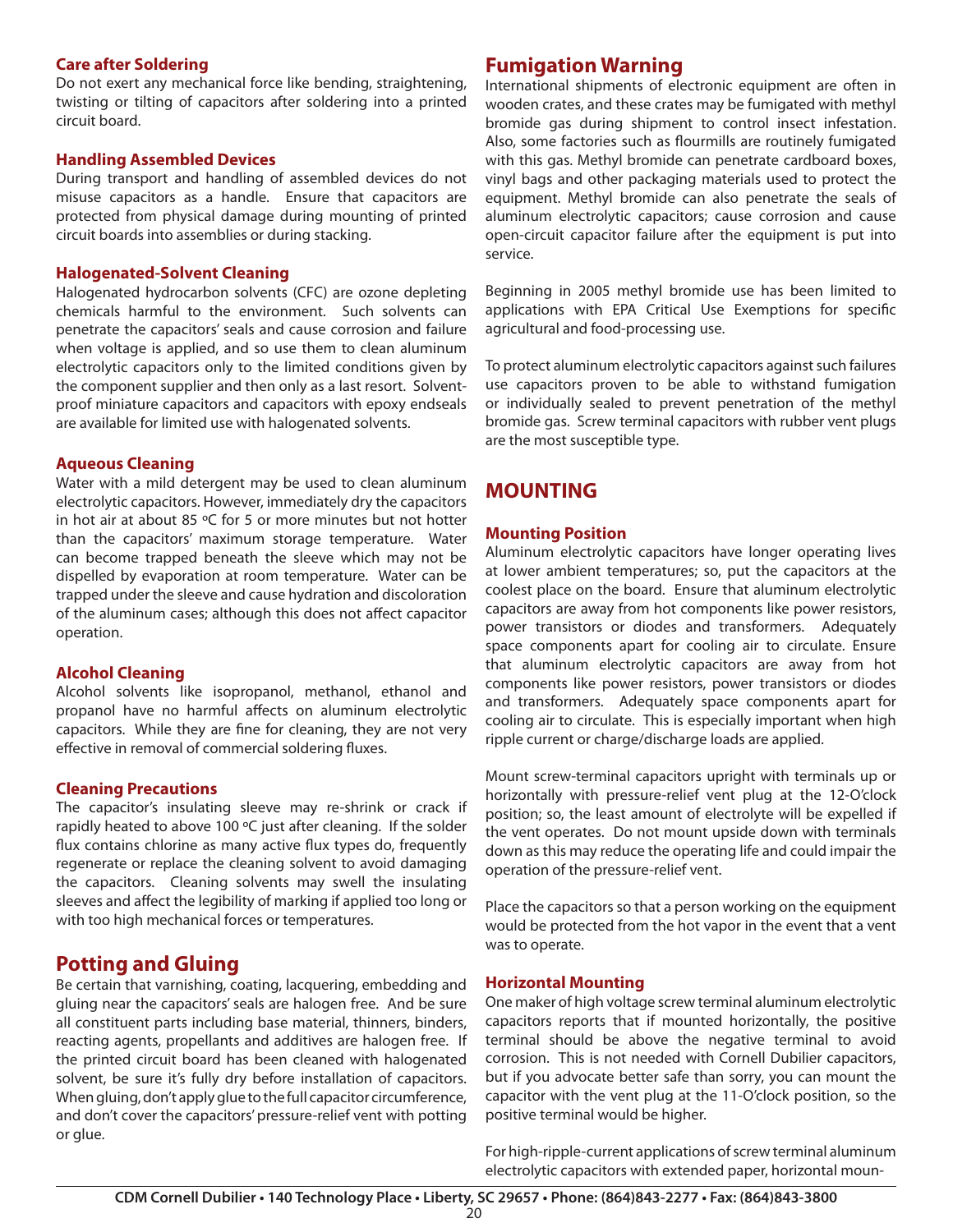#### **Care after Soldering**

Do not exert any mechanical force like bending, straightening, twisting or tilting of capacitors after soldering into a printed circuit board.

#### **Handling Assembled Devices**

During transport and handling of assembled devices do not misuse capacitors as a handle. Ensure that capacitors are protected from physical damage during mounting of printed circuit boards into assemblies or during stacking.

#### **Halogenated-Solvent Cleaning**

Halogenated hydrocarbon solvents (CFC) are ozone depleting chemicals harmful to the environment. Such solvents can penetrate the capacitors' seals and cause corrosion and failure when voltage is applied, and so use them to clean aluminum electrolytic capacitors only to the limited conditions given by the component supplier and then only as a last resort. Solventproof miniature capacitors and capacitors with epoxy endseals are available for limited use with halogenated solvents.

### **Aqueous Cleaning**

Water with a mild detergent may be used to clean aluminum electrolytic capacitors. However, immediately dry the capacitors in hot air at about 85 ºC for 5 or more minutes but not hotter than the capacitors' maximum storage temperature. Water can become trapped beneath the sleeve which may not be dispelled by evaporation at room temperature. Water can be trapped under the sleeve and cause hydration and discoloration of the aluminum cases; although this does not affect capacitor operation.

### **Alcohol Cleaning**

Alcohol solvents like isopropanol, methanol, ethanol and propanol have no harmful affects on aluminum electrolytic capacitors. While they are fine for cleaning, they are not very effective in removal of commercial soldering fluxes.

#### **Cleaning Precautions**

The capacitor's insulating sleeve may re-shrink or crack if rapidly heated to above 100 ºC just after cleaning. If the solder flux contains chlorine as many active flux types do, frequently regenerate or replace the cleaning solvent to avoid damaging the capacitors. Cleaning solvents may swell the insulating sleeves and affect the legibility of marking if applied too long or with too high mechanical forces or temperatures.

# **Potting and Gluing**

Be certain that varnishing, coating, lacquering, embedding and gluing near the capacitors' seals are halogen free. And be sure all constituent parts including base material, thinners, binders, reacting agents, propellants and additives are halogen free. If the printed circuit board has been cleaned with halogenated solvent, be sure it's fully dry before installation of capacitors. When gluing, don't apply glue to the full capacitor circumference, and don't cover the capacitors' pressure-relief vent with potting or glue.

# **Fumigation Warning**

International shipments of electronic equipment are often in wooden crates, and these crates may be fumigated with methyl bromide gas during shipment to control insect infestation. Also, some factories such as flourmills are routinely fumigated with this gas. Methyl bromide can penetrate cardboard boxes, vinyl bags and other packaging materials used to protect the equipment. Methyl bromide can also penetrate the seals of aluminum electrolytic capacitors; cause corrosion and cause open-circuit capacitor failure after the equipment is put into service.

Beginning in 2005 methyl bromide use has been limited to applications with EPA Critical Use Exemptions for specific agricultural and food-processing use.

To protect aluminum electrolytic capacitors against such failures use capacitors proven to be able to withstand fumigation or individually sealed to prevent penetration of the methyl bromide gas. Screw terminal capacitors with rubber vent plugs are the most susceptible type.

# **MOUNTING**

#### **Mounting Position**

Aluminum electrolytic capacitors have longer operating lives at lower ambient temperatures; so, put the capacitors at the coolest place on the board. Ensure that aluminum electrolytic capacitors are away from hot components like power resistors, power transistors or diodes and transformers. Adequately space components apart for cooling air to circulate. Ensure that aluminum electrolytic capacitors are away from hot components like power resistors, power transistors or diodes and transformers. Adequately space components apart for cooling air to circulate. This is especially important when high ripple current or charge/discharge loads are applied.

Mount screw-terminal capacitors upright with terminals up or horizontally with pressure-relief vent plug at the 12-O'clock position; so, the least amount of electrolyte will be expelled if the vent operates. Do not mount upside down with terminals down as this may reduce the operating life and could impair the operation of the pressure-relief vent.

Place the capacitors so that a person working on the equipment would be protected from the hot vapor in the event that a vent was to operate.

### **Horizontal Mounting**

One maker of high voltage screw terminal aluminum electrolytic capacitors reports that if mounted horizontally, the positive terminal should be above the negative terminal to avoid corrosion. This is not needed with Cornell Dubilier capacitors, but if you advocate better safe than sorry, you can mount the capacitor with the vent plug at the 11-O'clock position, so the positive terminal would be higher.

For high-ripple-current applications of screw terminal aluminum electrolytic capacitors with extended paper, horizontal moun-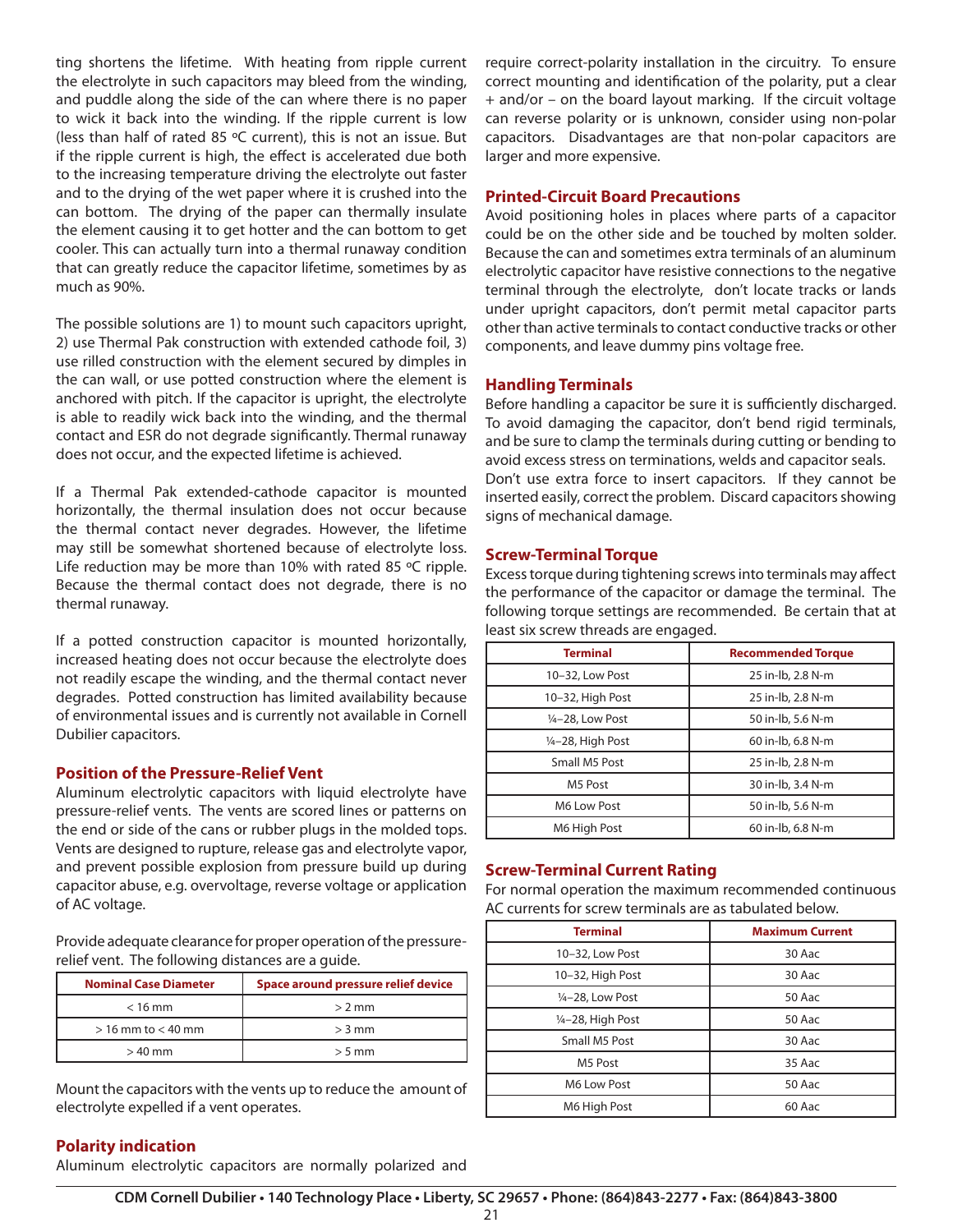ting shortens the lifetime. With heating from ripple current the electrolyte in such capacitors may bleed from the winding, and puddle along the side of the can where there is no paper to wick it back into the winding. If the ripple current is low (less than half of rated 85 ºC current), this is not an issue. But if the ripple current is high, the effect is accelerated due both to the increasing temperature driving the electrolyte out faster and to the drying of the wet paper where it is crushed into the can bottom. The drying of the paper can thermally insulate the element causing it to get hotter and the can bottom to get cooler. This can actually turn into a thermal runaway condition that can greatly reduce the capacitor lifetime, sometimes by as much as 90%.

The possible solutions are 1) to mount such capacitors upright, 2) use Thermal Pak construction with extended cathode foil, 3) use rilled construction with the element secured by dimples in the can wall, or use potted construction where the element is anchored with pitch. If the capacitor is upright, the electrolyte is able to readily wick back into the winding, and the thermal contact and ESR do not degrade significantly. Thermal runaway does not occur, and the expected lifetime is achieved.

If a Thermal Pak extended-cathode capacitor is mounted horizontally, the thermal insulation does not occur because the thermal contact never degrades. However, the lifetime may still be somewhat shortened because of electrolyte loss. Life reduction may be more than 10% with rated 85 °C ripple. Because the thermal contact does not degrade, there is no thermal runaway.

If a potted construction capacitor is mounted horizontally, increased heating does not occur because the electrolyte does not readily escape the winding, and the thermal contact never degrades. Potted construction has limited availability because of environmental issues and is currently not available in Cornell Dubilier capacitors.

#### **Position of the Pressure-Relief Vent**

Aluminum electrolytic capacitors with liquid electrolyte have pressure-relief vents. The vents are scored lines or patterns on the end or side of the cans or rubber plugs in the molded tops. Vents are designed to rupture, release gas and electrolyte vapor, and prevent possible explosion from pressure build up during capacitor abuse, e.g. overvoltage, reverse voltage or application of AC voltage.

Provide adequate clearance for proper operation of the pressurerelief vent. The following distances are a guide.

| <b>Nominal Case Diameter</b> | Space around pressure relief device |
|------------------------------|-------------------------------------|
| $<$ 16 mm                    | $> 2$ mm                            |
| $> 16$ mm to $< 40$ mm       | $>$ 3 mm                            |
| $>40$ mm                     | $> 5$ mm                            |

Mount the capacitors with the vents up to reduce the amount of electrolyte expelled if a vent operates.

require correct-polarity installation in the circuitry. To ensure correct mounting and identification of the polarity, put a clear + and/or – on the board layout marking. If the circuit voltage can reverse polarity or is unknown, consider using non-polar capacitors. Disadvantages are that non-polar capacitors are larger and more expensive.

#### **Printed-Circuit Board Precautions**

Avoid positioning holes in places where parts of a capacitor could be on the other side and be touched by molten solder. Because the can and sometimes extra terminals of an aluminum electrolytic capacitor have resistive connections to the negative terminal through the electrolyte, don't locate tracks or lands under upright capacitors, don't permit metal capacitor parts other than active terminals to contact conductive tracks or other components, and leave dummy pins voltage free.

#### **Handling Terminals**

Before handling a capacitor be sure it is sufficiently discharged. To avoid damaging the capacitor, don't bend rigid terminals, and be sure to clamp the terminals during cutting or bending to avoid excess stress on terminations, welds and capacitor seals. Don't use extra force to insert capacitors. If they cannot be inserted easily, correct the problem. Discard capacitors showing signs of mechanical damage.

#### **Screw-Terminal Torque**

Excess torque during tightening screws into terminals may affect the performance of the capacitor or damage the terminal. The following torque settings are recommended. Be certain that at least six screw threads are engaged.

| <b>Terminal</b>   | <b>Recommended Torque</b> |
|-------------------|---------------------------|
| 10-32, Low Post   | 25 in-lb, 2.8 N-m         |
| 10-32, High Post  | 25 in-lb, 2.8 N-m         |
| 1/4-28, Low Post  | 50 in-lb, 5.6 N-m         |
| 1⁄4-28, High Post | 60 in-lb, 6.8 N-m         |
| Small M5 Post     | 25 in-lb, 2.8 N-m         |
| M5 Post           | 30 in-lb, 3.4 N-m         |
| M6 Low Post       | 50 in-lb, 5.6 N-m         |
| M6 High Post      | 60 in-lb, 6.8 N-m         |

### **Screw-Terminal Current Rating**

For normal operation the maximum recommended continuous AC currents for screw terminals are as tabulated below.

| <b>Terminal</b>   | <b>Maximum Current</b> |
|-------------------|------------------------|
| 10-32, Low Post   | 30 Aac                 |
| 10-32, High Post  | 30 Aac                 |
| 1/4-28, Low Post  | 50 Aac                 |
| 1/4-28, High Post | 50 Aac                 |
| Small M5 Post     | 30 Aac                 |
| M5 Post           | 35 Aac                 |
| M6 Low Post       | 50 Aac                 |
| M6 High Post      | 60 Aac                 |

### **Polarity indication**

Aluminum electrolytic capacitors are normally polarized and